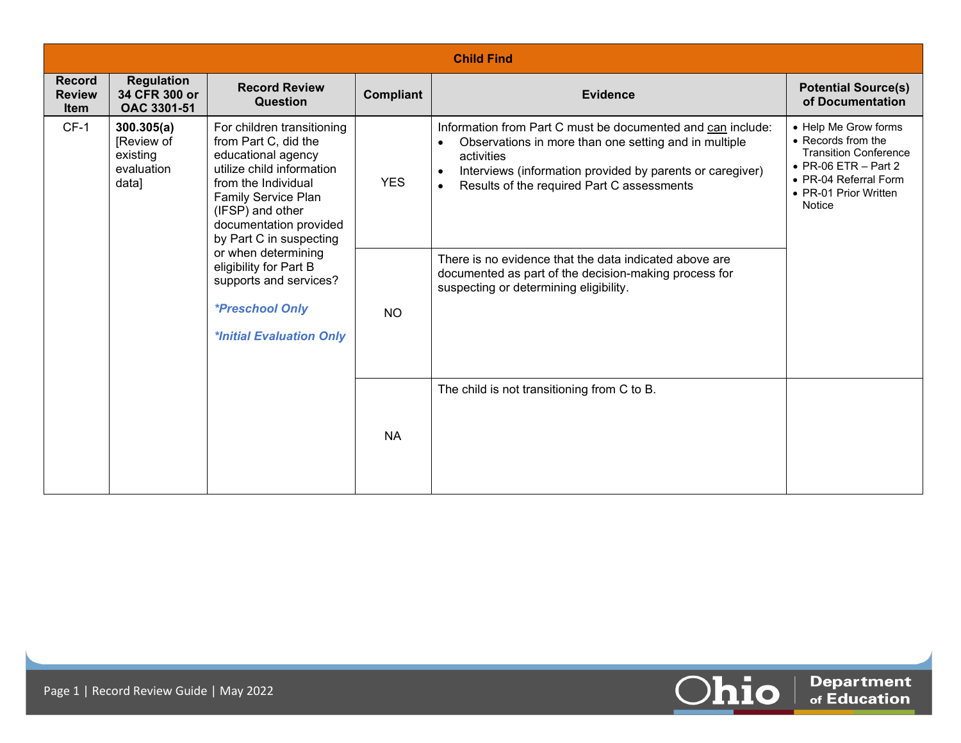|                                               | <b>Child Find</b>                                           |                                                                                                                                                                                                                                                                                                                                                                      |            |                                                                                                                                                                                                                                                                                                                                   |                                                                                                                                                                        |  |  |  |
|-----------------------------------------------|-------------------------------------------------------------|----------------------------------------------------------------------------------------------------------------------------------------------------------------------------------------------------------------------------------------------------------------------------------------------------------------------------------------------------------------------|------------|-----------------------------------------------------------------------------------------------------------------------------------------------------------------------------------------------------------------------------------------------------------------------------------------------------------------------------------|------------------------------------------------------------------------------------------------------------------------------------------------------------------------|--|--|--|
| <b>Record</b><br><b>Review</b><br><b>Item</b> | <b>Regulation</b><br>34 CFR 300 or<br>OAC 3301-51           | <b>Record Review</b><br><b>Question</b>                                                                                                                                                                                                                                                                                                                              | Compliant  | <b>Evidence</b>                                                                                                                                                                                                                                                                                                                   | <b>Potential Source(s)</b><br>of Documentation                                                                                                                         |  |  |  |
| $CF-1$                                        | 300.305(a)<br>[Review of<br>existing<br>evaluation<br>data] | For children transitioning<br>from Part C, did the<br>educational agency<br>utilize child information<br>from the Individual<br>Family Service Plan<br>(IFSP) and other<br>documentation provided<br>by Part C in suspecting<br>or when determining<br>eligibility for Part B<br>supports and services?<br><i><b>*Preschool Only</b></i><br>*Initial Evaluation Only | <b>YES</b> | Information from Part C must be documented and can include:<br>Observations in more than one setting and in multiple<br>$\bullet$<br>activities<br>Interviews (information provided by parents or caregiver)<br>Results of the required Part C assessments<br>$\bullet$<br>There is no evidence that the data indicated above are | • Help Me Grow forms<br>• Records from the<br><b>Transition Conference</b><br>$\bullet$ PR-06 ETR - Part 2<br>• PR-04 Referral Form<br>• PR-01 Prior Written<br>Notice |  |  |  |
|                                               |                                                             |                                                                                                                                                                                                                                                                                                                                                                      | <b>NO</b>  | documented as part of the decision-making process for<br>suspecting or determining eligibility.                                                                                                                                                                                                                                   |                                                                                                                                                                        |  |  |  |
|                                               |                                                             |                                                                                                                                                                                                                                                                                                                                                                      | <b>NA</b>  | The child is not transitioning from C to B.                                                                                                                                                                                                                                                                                       |                                                                                                                                                                        |  |  |  |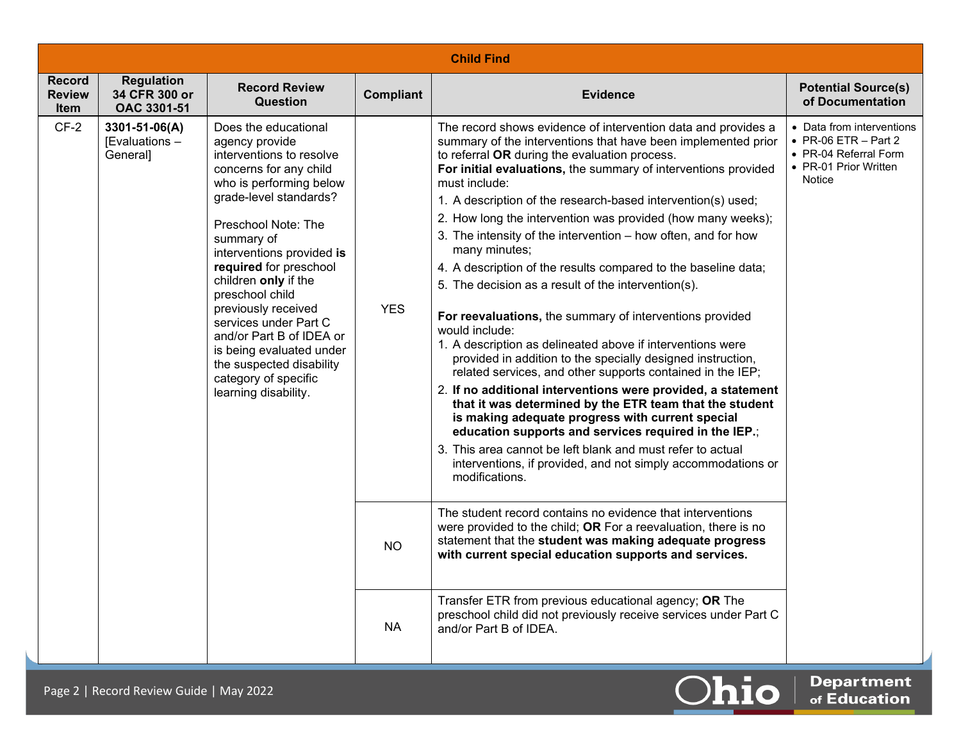| <b>Child Find</b>                      |                                                   |                                                                                                                                                                                                                                                                                                                                                                                                                                                                              |                  |                                                                                                                                                                                                                                                                                                                                                                                                                                                                                                                                                                                                                                                                                                                                                                                                                                                                                                                                                                                                                                                                                                                                                                                                                                                                               |                                                                                                                       |  |
|----------------------------------------|---------------------------------------------------|------------------------------------------------------------------------------------------------------------------------------------------------------------------------------------------------------------------------------------------------------------------------------------------------------------------------------------------------------------------------------------------------------------------------------------------------------------------------------|------------------|-------------------------------------------------------------------------------------------------------------------------------------------------------------------------------------------------------------------------------------------------------------------------------------------------------------------------------------------------------------------------------------------------------------------------------------------------------------------------------------------------------------------------------------------------------------------------------------------------------------------------------------------------------------------------------------------------------------------------------------------------------------------------------------------------------------------------------------------------------------------------------------------------------------------------------------------------------------------------------------------------------------------------------------------------------------------------------------------------------------------------------------------------------------------------------------------------------------------------------------------------------------------------------|-----------------------------------------------------------------------------------------------------------------------|--|
| <b>Record</b><br><b>Review</b><br>Item | <b>Regulation</b><br>34 CFR 300 or<br>OAC 3301-51 | <b>Record Review</b><br><b>Question</b>                                                                                                                                                                                                                                                                                                                                                                                                                                      | <b>Compliant</b> | <b>Evidence</b>                                                                                                                                                                                                                                                                                                                                                                                                                                                                                                                                                                                                                                                                                                                                                                                                                                                                                                                                                                                                                                                                                                                                                                                                                                                               | <b>Potential Source(s)</b><br>of Documentation                                                                        |  |
| $CF-2$                                 | 3301-51-06(A)<br>[Evaluations -<br>General]       | Does the educational<br>agency provide<br>interventions to resolve<br>concerns for any child<br>who is performing below<br>grade-level standards?<br>Preschool Note: The<br>summary of<br>interventions provided is<br>required for preschool<br>children only if the<br>preschool child<br>previously received<br>services under Part C<br>and/or Part B of IDEA or<br>is being evaluated under<br>the suspected disability<br>category of specific<br>learning disability. | <b>YES</b>       | The record shows evidence of intervention data and provides a<br>summary of the interventions that have been implemented prior<br>to referral OR during the evaluation process.<br>For initial evaluations, the summary of interventions provided<br>must include:<br>1. A description of the research-based intervention(s) used;<br>2. How long the intervention was provided (how many weeks);<br>3. The intensity of the intervention - how often, and for how<br>many minutes;<br>4. A description of the results compared to the baseline data;<br>5. The decision as a result of the intervention(s).<br>For reevaluations, the summary of interventions provided<br>would include:<br>1. A description as delineated above if interventions were<br>provided in addition to the specially designed instruction,<br>related services, and other supports contained in the IEP;<br>2. If no additional interventions were provided, a statement<br>that it was determined by the ETR team that the student<br>is making adequate progress with current special<br>education supports and services required in the IEP.;<br>3. This area cannot be left blank and must refer to actual<br>interventions, if provided, and not simply accommodations or<br>modifications. | • Data from interventions<br>$\bullet$ PR-06 ETR - Part 2<br>• PR-04 Referral Form<br>• PR-01 Prior Written<br>Notice |  |
|                                        |                                                   |                                                                                                                                                                                                                                                                                                                                                                                                                                                                              | <b>NO</b>        | The student record contains no evidence that interventions<br>were provided to the child; OR For a reevaluation, there is no<br>statement that the student was making adequate progress<br>with current special education supports and services.                                                                                                                                                                                                                                                                                                                                                                                                                                                                                                                                                                                                                                                                                                                                                                                                                                                                                                                                                                                                                              |                                                                                                                       |  |
|                                        |                                                   |                                                                                                                                                                                                                                                                                                                                                                                                                                                                              | <b>NA</b>        | Transfer ETR from previous educational agency; OR The<br>preschool child did not previously receive services under Part C<br>and/or Part B of IDEA.                                                                                                                                                                                                                                                                                                                                                                                                                                                                                                                                                                                                                                                                                                                                                                                                                                                                                                                                                                                                                                                                                                                           |                                                                                                                       |  |

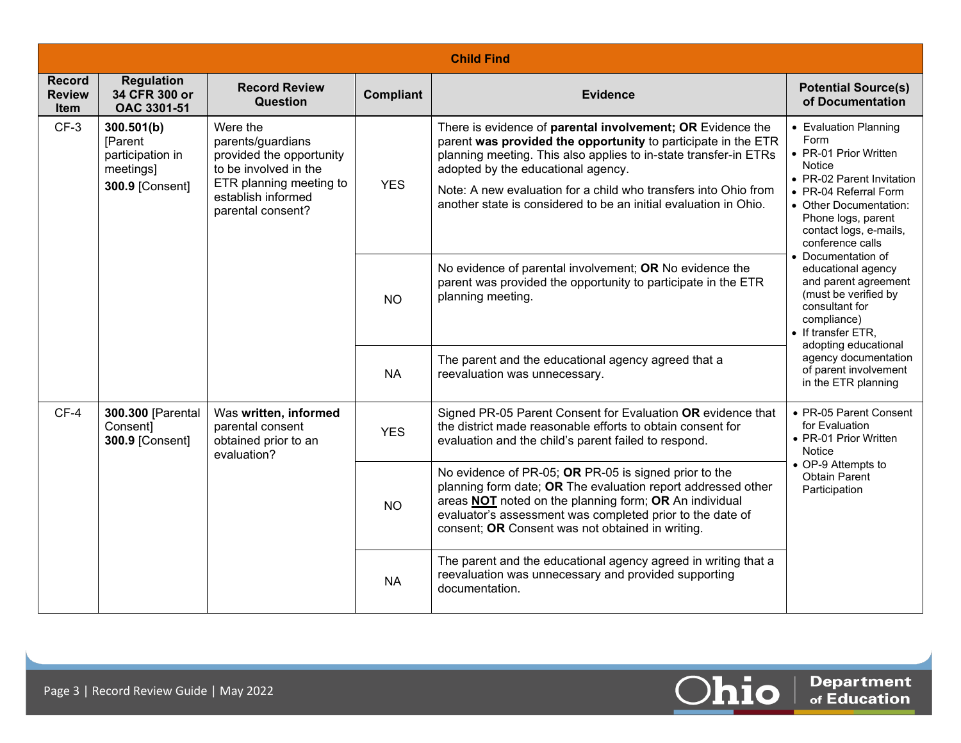|                                               | <b>Child Find</b>                                                         |                                                                                                                                                          |                  |                                                                                                                                                                                                                                                                                                                                                                              |                                                                                                                                                                                                                             |  |  |  |
|-----------------------------------------------|---------------------------------------------------------------------------|----------------------------------------------------------------------------------------------------------------------------------------------------------|------------------|------------------------------------------------------------------------------------------------------------------------------------------------------------------------------------------------------------------------------------------------------------------------------------------------------------------------------------------------------------------------------|-----------------------------------------------------------------------------------------------------------------------------------------------------------------------------------------------------------------------------|--|--|--|
| <b>Record</b><br><b>Review</b><br><b>Item</b> | <b>Regulation</b><br>34 CFR 300 or<br>OAC 3301-51                         | <b>Record Review</b><br><b>Question</b>                                                                                                                  | <b>Compliant</b> | <b>Evidence</b>                                                                                                                                                                                                                                                                                                                                                              | <b>Potential Source(s)</b><br>of Documentation                                                                                                                                                                              |  |  |  |
| $CF-3$                                        | 300.501(b)<br>[Parent<br>participation in<br>meetings]<br>300.9 [Consent] | Were the<br>parents/guardians<br>provided the opportunity<br>to be involved in the<br>ETR planning meeting to<br>establish informed<br>parental consent? | <b>YES</b>       | There is evidence of parental involvement; OR Evidence the<br>parent was provided the opportunity to participate in the ETR<br>planning meeting. This also applies to in-state transfer-in ETRs<br>adopted by the educational agency.<br>Note: A new evaluation for a child who transfers into Ohio from<br>another state is considered to be an initial evaluation in Ohio. | • Evaluation Planning<br>Form<br>• PR-01 Prior Written<br><b>Notice</b><br>• PR-02 Parent Invitation<br>• PR-04 Referral Form<br>• Other Documentation:<br>Phone logs, parent<br>contact logs, e-mails,<br>conference calls |  |  |  |
|                                               |                                                                           |                                                                                                                                                          | <b>NO</b>        | No evidence of parental involvement; OR No evidence the<br>parent was provided the opportunity to participate in the ETR<br>planning meeting.                                                                                                                                                                                                                                | • Documentation of<br>educational agency<br>and parent agreement<br>(must be verified by<br>consultant for<br>compliance)<br>• If transfer ETR.<br>adopting educational                                                     |  |  |  |
|                                               |                                                                           |                                                                                                                                                          | <b>NA</b>        | The parent and the educational agency agreed that a<br>reevaluation was unnecessary.                                                                                                                                                                                                                                                                                         | agency documentation<br>of parent involvement<br>in the ETR planning                                                                                                                                                        |  |  |  |
| $CF-4$                                        | 300.300 [Parental<br>Consent]<br><b>300.9 [Consent]</b>                   | Was written, informed<br>parental consent<br>obtained prior to an<br>evaluation?                                                                         | <b>YES</b>       | Signed PR-05 Parent Consent for Evaluation OR evidence that<br>the district made reasonable efforts to obtain consent for<br>evaluation and the child's parent failed to respond.                                                                                                                                                                                            | • PR-05 Parent Consent<br>for Evaluation<br>• PR-01 Prior Written<br>Notice                                                                                                                                                 |  |  |  |
|                                               |                                                                           |                                                                                                                                                          | <b>NO</b>        | No evidence of PR-05; OR PR-05 is signed prior to the<br>planning form date; OR The evaluation report addressed other<br>areas NOT noted on the planning form; OR An individual<br>evaluator's assessment was completed prior to the date of<br>consent; OR Consent was not obtained in writing.                                                                             | • OP-9 Attempts to<br><b>Obtain Parent</b><br>Participation                                                                                                                                                                 |  |  |  |
|                                               |                                                                           |                                                                                                                                                          | <b>NA</b>        | The parent and the educational agency agreed in writing that a<br>reevaluation was unnecessary and provided supporting<br>documentation.                                                                                                                                                                                                                                     |                                                                                                                                                                                                                             |  |  |  |



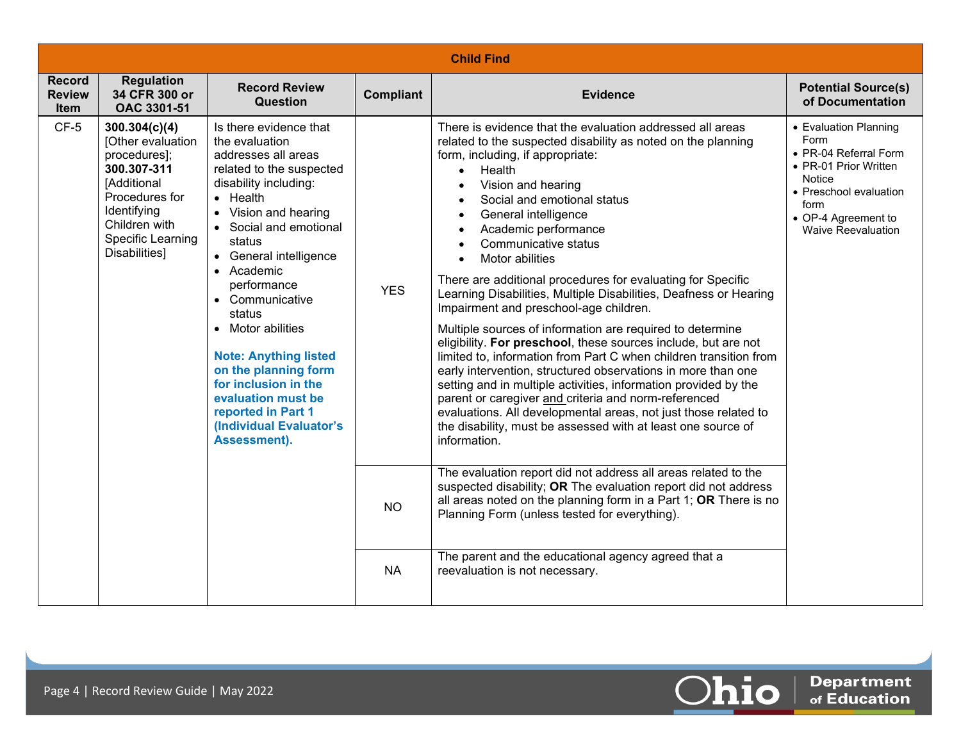| <b>Record</b><br><b>Review</b><br><b>Item</b> | <b>Regulation</b><br>34 CFR 300 or<br>OAC 3301-51                                                                                                                        | <b>Record Review</b><br><b>Question</b>                                                                                                                                                                                                                                                                                                                                                                                                                                              | <b>Compliant</b> | <b>Evidence</b>                                                                                                                                                                                                                                                                                                                                                                                                                                                                                                                                                                                                                                                                                                                                                                                                                                                                                                                                                                                                                                                                   | <b>Potential Source(s)</b><br>of Documentation                                                                                                                           |
|-----------------------------------------------|--------------------------------------------------------------------------------------------------------------------------------------------------------------------------|--------------------------------------------------------------------------------------------------------------------------------------------------------------------------------------------------------------------------------------------------------------------------------------------------------------------------------------------------------------------------------------------------------------------------------------------------------------------------------------|------------------|-----------------------------------------------------------------------------------------------------------------------------------------------------------------------------------------------------------------------------------------------------------------------------------------------------------------------------------------------------------------------------------------------------------------------------------------------------------------------------------------------------------------------------------------------------------------------------------------------------------------------------------------------------------------------------------------------------------------------------------------------------------------------------------------------------------------------------------------------------------------------------------------------------------------------------------------------------------------------------------------------------------------------------------------------------------------------------------|--------------------------------------------------------------------------------------------------------------------------------------------------------------------------|
| $CF-5$                                        | 300.304(c)(4)<br>[Other evaluation<br>procedures];<br>300.307-311<br>[Additional<br>Procedures for<br>Identifying<br>Children with<br>Specific Learning<br>Disabilities] | Is there evidence that<br>the evaluation<br>addresses all areas<br>related to the suspected<br>disability including:<br>$\bullet$ Health<br>• Vision and hearing<br>• Social and emotional<br>status<br>• General intelligence<br>• Academic<br>performance<br>• Communicative<br>status<br>• Motor abilities<br><b>Note: Anything listed</b><br>on the planning form<br>for inclusion in the<br>evaluation must be<br>reported in Part 1<br>(Individual Evaluator's<br>Assessment). | <b>YES</b>       | There is evidence that the evaluation addressed all areas<br>related to the suspected disability as noted on the planning<br>form, including, if appropriate:<br>Health<br>$\bullet$<br>Vision and hearing<br>Social and emotional status<br>General intelligence<br>$\bullet$<br>Academic performance<br>Communicative status<br>Motor abilities<br>There are additional procedures for evaluating for Specific<br>Learning Disabilities, Multiple Disabilities, Deafness or Hearing<br>Impairment and preschool-age children.<br>Multiple sources of information are required to determine<br>eligibility. For preschool, these sources include, but are not<br>limited to, information from Part C when children transition from<br>early intervention, structured observations in more than one<br>setting and in multiple activities, information provided by the<br>parent or caregiver and criteria and norm-referenced<br>evaluations. All developmental areas, not just those related to<br>the disability, must be assessed with at least one source of<br>information. | • Evaluation Planning<br>Form<br>• PR-04 Referral Form<br>• PR-01 Prior Written<br>Notice<br>• Preschool evaluation<br>form<br>• OP-4 Agreement to<br>Waive Reevaluation |
|                                               |                                                                                                                                                                          |                                                                                                                                                                                                                                                                                                                                                                                                                                                                                      | <b>NO</b>        | The evaluation report did not address all areas related to the<br>suspected disability; OR The evaluation report did not address<br>all areas noted on the planning form in a Part 1; OR There is no<br>Planning Form (unless tested for everything).                                                                                                                                                                                                                                                                                                                                                                                                                                                                                                                                                                                                                                                                                                                                                                                                                             |                                                                                                                                                                          |
|                                               |                                                                                                                                                                          |                                                                                                                                                                                                                                                                                                                                                                                                                                                                                      | <b>NA</b>        | The parent and the educational agency agreed that a<br>reevaluation is not necessary.                                                                                                                                                                                                                                                                                                                                                                                                                                                                                                                                                                                                                                                                                                                                                                                                                                                                                                                                                                                             |                                                                                                                                                                          |

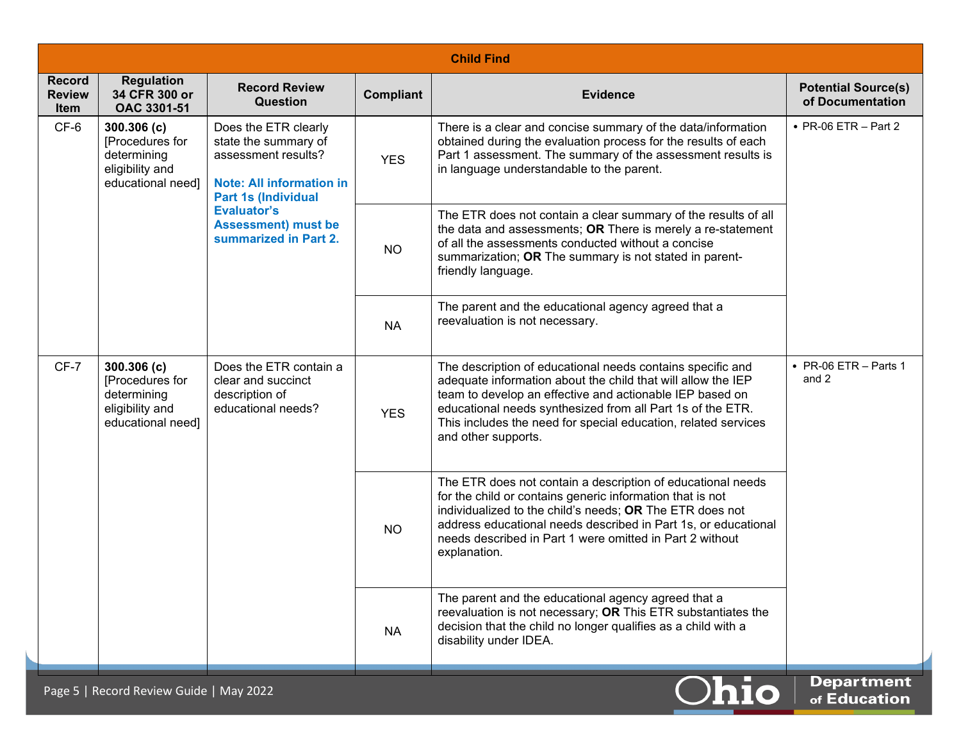|                                               | <b>Child Find</b>                                                                    |                                                                                                                                      |            |                                                                                                                                                                                                                                                                                                                                               |                                                |  |  |  |
|-----------------------------------------------|--------------------------------------------------------------------------------------|--------------------------------------------------------------------------------------------------------------------------------------|------------|-----------------------------------------------------------------------------------------------------------------------------------------------------------------------------------------------------------------------------------------------------------------------------------------------------------------------------------------------|------------------------------------------------|--|--|--|
| <b>Record</b><br><b>Review</b><br><b>Item</b> | <b>Regulation</b><br>34 CFR 300 or<br>OAC 3301-51                                    | <b>Record Review</b><br><b>Question</b>                                                                                              | Compliant  | <b>Evidence</b>                                                                                                                                                                                                                                                                                                                               | <b>Potential Source(s)</b><br>of Documentation |  |  |  |
| CF-6                                          | 300.306(c)<br>[Procedures for<br>determining<br>eligibility and<br>educational need] | Does the ETR clearly<br>state the summary of<br>assessment results?<br><b>Note: All information in</b><br><b>Part 1s (Individual</b> | <b>YES</b> | There is a clear and concise summary of the data/information<br>obtained during the evaluation process for the results of each<br>Part 1 assessment. The summary of the assessment results is<br>in language understandable to the parent.                                                                                                    | $\bullet$ PR-06 ETR - Part 2                   |  |  |  |
|                                               |                                                                                      | <b>Evaluator's</b><br><b>Assessment) must be</b><br>summarized in Part 2.                                                            | <b>NO</b>  | The ETR does not contain a clear summary of the results of all<br>the data and assessments; OR There is merely a re-statement<br>of all the assessments conducted without a concise<br>summarization; OR The summary is not stated in parent-<br>friendly language.                                                                           |                                                |  |  |  |
|                                               |                                                                                      |                                                                                                                                      | <b>NA</b>  | The parent and the educational agency agreed that a<br>reevaluation is not necessary.                                                                                                                                                                                                                                                         |                                                |  |  |  |
| $CF-7$                                        | 300.306(c)<br>[Procedures for<br>determining<br>eligibility and<br>educational need] | Does the ETR contain a<br>clear and succinct<br>description of<br>educational needs?<br><b>YES</b><br><b>NO</b><br><b>NA</b>         |            | The description of educational needs contains specific and<br>adequate information about the child that will allow the IEP<br>team to develop an effective and actionable IEP based on<br>educational needs synthesized from all Part 1s of the ETR.<br>This includes the need for special education, related services<br>and other supports. | $\bullet$ PR-06 ETR - Parts 1<br>and 2         |  |  |  |
|                                               |                                                                                      |                                                                                                                                      |            | The ETR does not contain a description of educational needs<br>for the child or contains generic information that is not<br>individualized to the child's needs; OR The ETR does not<br>address educational needs described in Part 1s, or educational<br>needs described in Part 1 were omitted in Part 2 without<br>explanation.            |                                                |  |  |  |
|                                               |                                                                                      |                                                                                                                                      |            | The parent and the educational agency agreed that a<br>reevaluation is not necessary; OR This ETR substantiates the<br>decision that the child no longer qualifies as a child with a<br>disability under IDEA.                                                                                                                                |                                                |  |  |  |
|                                               | Page 5   Record Review Guide   May 2022                                              |                                                                                                                                      |            | <b>Ohio</b>                                                                                                                                                                                                                                                                                                                                   | <b>Department</b><br>of Education              |  |  |  |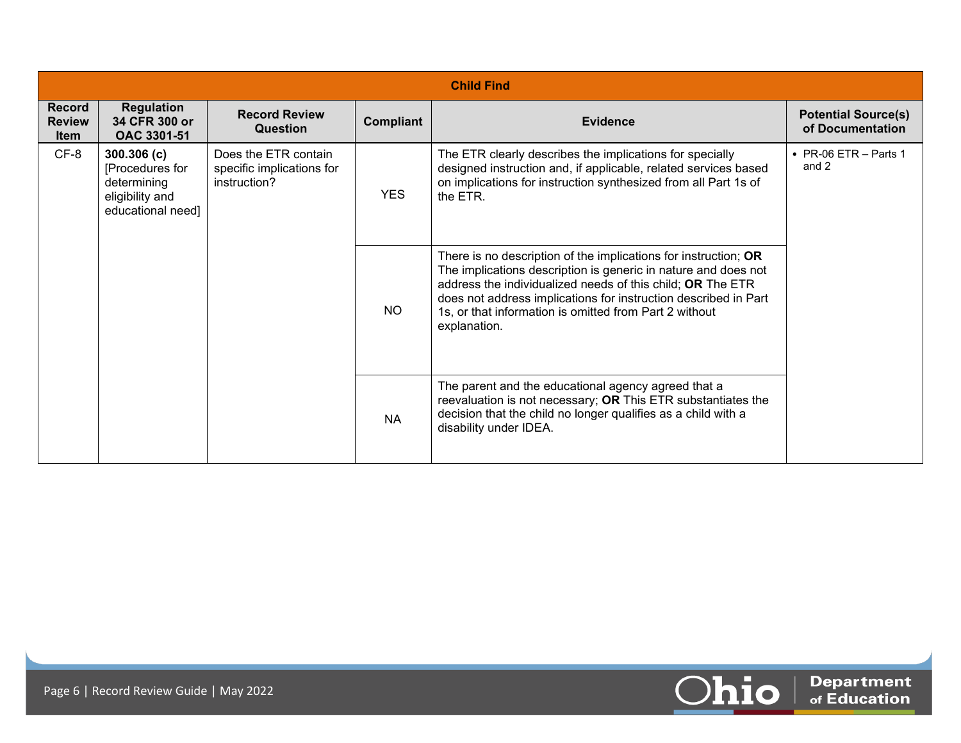| <b>Child Find</b>                      |                                                                                       |                                                                   |            |                                                                                                                                                                                                                                                                                                                                              |                                                |  |  |  |
|----------------------------------------|---------------------------------------------------------------------------------------|-------------------------------------------------------------------|------------|----------------------------------------------------------------------------------------------------------------------------------------------------------------------------------------------------------------------------------------------------------------------------------------------------------------------------------------------|------------------------------------------------|--|--|--|
| Record<br><b>Review</b><br><b>Item</b> | <b>Regulation</b><br>34 CFR 300 or<br>OAC 3301-51                                     | <b>Record Review</b><br>Question                                  | Compliant  | <b>Evidence</b>                                                                                                                                                                                                                                                                                                                              | <b>Potential Source(s)</b><br>of Documentation |  |  |  |
| $CF-8$                                 | 300.306 (c)<br>[Procedures for<br>determining<br>eligibility and<br>educational need] | Does the ETR contain<br>specific implications for<br>instruction? | <b>YES</b> | The ETR clearly describes the implications for specially<br>designed instruction and, if applicable, related services based<br>on implications for instruction synthesized from all Part 1s of<br>the ETR.                                                                                                                                   | $\bullet$ PR-06 ETR - Parts 1<br>and 2         |  |  |  |
|                                        |                                                                                       |                                                                   | <b>NO</b>  | There is no description of the implications for instruction; OR<br>The implications description is generic in nature and does not<br>address the individualized needs of this child; OR The ETR<br>does not address implications for instruction described in Part<br>1s, or that information is omitted from Part 2 without<br>explanation. |                                                |  |  |  |
|                                        |                                                                                       |                                                                   | <b>NA</b>  | The parent and the educational agency agreed that a<br>reevaluation is not necessary; OR This ETR substantiates the<br>decision that the child no longer qualifies as a child with a<br>disability under IDEA.                                                                                                                               |                                                |  |  |  |

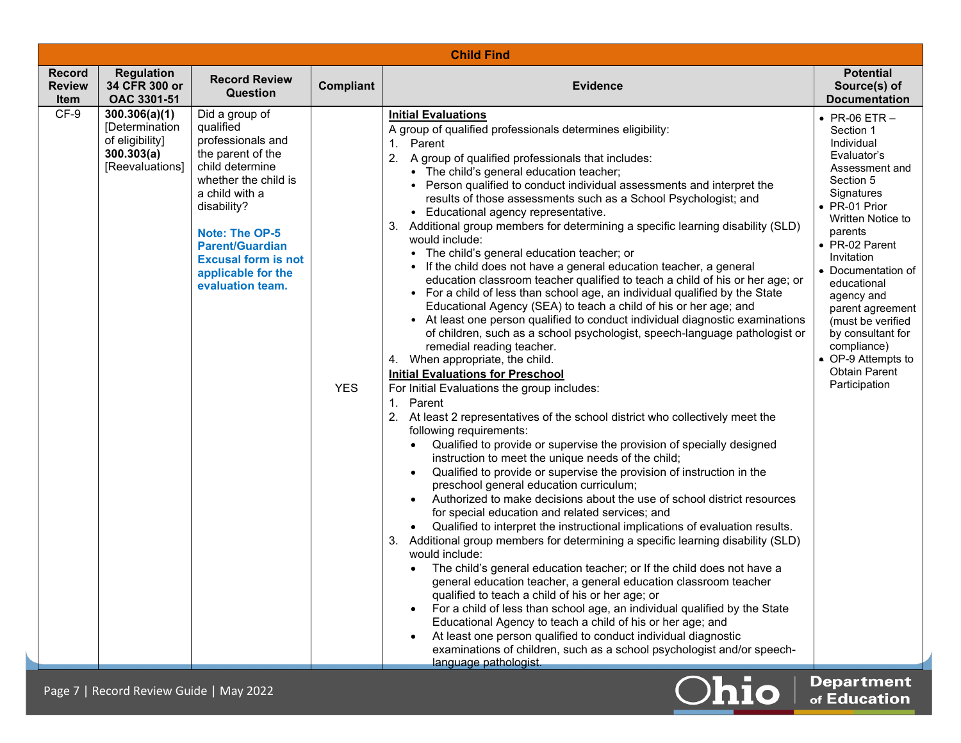|                                               | <b>Child Find</b>                                                                   |                                                                                                                                                                                                                                                                       |                  |                                                                                                                                                                                                                                                                                                                                                                                                                                                                                                                                                                                                                                                                                                                                                                                                                                                                                                                                                                                                                                                                                                                                                                                                                                                                                                                                                                                                                                                                                                                                                                                                                                                                                                                                                                                                                                                                                                                                                                                                                                                                                                                                                                                                                                                                                                                                                                                                                                                         |                                                                                                                                                                                                                                                                                                                                                                                                |  |  |
|-----------------------------------------------|-------------------------------------------------------------------------------------|-----------------------------------------------------------------------------------------------------------------------------------------------------------------------------------------------------------------------------------------------------------------------|------------------|---------------------------------------------------------------------------------------------------------------------------------------------------------------------------------------------------------------------------------------------------------------------------------------------------------------------------------------------------------------------------------------------------------------------------------------------------------------------------------------------------------------------------------------------------------------------------------------------------------------------------------------------------------------------------------------------------------------------------------------------------------------------------------------------------------------------------------------------------------------------------------------------------------------------------------------------------------------------------------------------------------------------------------------------------------------------------------------------------------------------------------------------------------------------------------------------------------------------------------------------------------------------------------------------------------------------------------------------------------------------------------------------------------------------------------------------------------------------------------------------------------------------------------------------------------------------------------------------------------------------------------------------------------------------------------------------------------------------------------------------------------------------------------------------------------------------------------------------------------------------------------------------------------------------------------------------------------------------------------------------------------------------------------------------------------------------------------------------------------------------------------------------------------------------------------------------------------------------------------------------------------------------------------------------------------------------------------------------------------------------------------------------------------------------------------------------------------|------------------------------------------------------------------------------------------------------------------------------------------------------------------------------------------------------------------------------------------------------------------------------------------------------------------------------------------------------------------------------------------------|--|--|
| <b>Record</b><br><b>Review</b><br><b>Item</b> | <b>Regulation</b><br>34 CFR 300 or<br>OAC 3301-51                                   | <b>Record Review</b><br>Question                                                                                                                                                                                                                                      | <b>Compliant</b> | <b>Evidence</b>                                                                                                                                                                                                                                                                                                                                                                                                                                                                                                                                                                                                                                                                                                                                                                                                                                                                                                                                                                                                                                                                                                                                                                                                                                                                                                                                                                                                                                                                                                                                                                                                                                                                                                                                                                                                                                                                                                                                                                                                                                                                                                                                                                                                                                                                                                                                                                                                                                         | <b>Potential</b><br>Source(s) of<br><b>Documentation</b>                                                                                                                                                                                                                                                                                                                                       |  |  |
| $CF-9$                                        | 300.306(a)(1)<br>[Determination<br>of eligibility]<br>300.303(a)<br>[Reevaluations] | Did a group of<br>qualified<br>professionals and<br>the parent of the<br>child determine<br>whether the child is<br>a child with a<br>disability?<br>Note: The OP-5<br><b>Parent/Guardian</b><br><b>Excusal form is not</b><br>applicable for the<br>evaluation team. | <b>YES</b>       | <b>Initial Evaluations</b><br>A group of qualified professionals determines eligibility:<br>1. Parent<br>2. A group of qualified professionals that includes:<br>• The child's general education teacher;<br>• Person qualified to conduct individual assessments and interpret the<br>results of those assessments such as a School Psychologist; and<br>• Educational agency representative.<br>3. Additional group members for determining a specific learning disability (SLD)<br>would include:<br>• The child's general education teacher; or<br>• If the child does not have a general education teacher, a general<br>education classroom teacher qualified to teach a child of his or her age; or<br>• For a child of less than school age, an individual qualified by the State<br>Educational Agency (SEA) to teach a child of his or her age; and<br>• At least one person qualified to conduct individual diagnostic examinations<br>of children, such as a school psychologist, speech-language pathologist or<br>remedial reading teacher.<br>4. When appropriate, the child.<br><b>Initial Evaluations for Preschool</b><br>For Initial Evaluations the group includes:<br>1. Parent<br>2. At least 2 representatives of the school district who collectively meet the<br>following requirements:<br>Qualified to provide or supervise the provision of specially designed<br>instruction to meet the unique needs of the child;<br>Qualified to provide or supervise the provision of instruction in the<br>$\bullet$<br>preschool general education curriculum;<br>Authorized to make decisions about the use of school district resources<br>for special education and related services; and<br>Qualified to interpret the instructional implications of evaluation results.<br>3. Additional group members for determining a specific learning disability (SLD)<br>would include:<br>The child's general education teacher; or If the child does not have a<br>$\bullet$<br>general education teacher, a general education classroom teacher<br>qualified to teach a child of his or her age; or<br>For a child of less than school age, an individual qualified by the State<br>$\bullet$<br>Educational Agency to teach a child of his or her age; and<br>At least one person qualified to conduct individual diagnostic<br>examinations of children, such as a school psychologist and/or speech-<br>language pathologist.<br>-- | $\bullet$ PR-06 ETR $-$<br>Section 1<br>Individual<br>Evaluator's<br>Assessment and<br>Section 5<br>Signatures<br>• PR-01 Prior<br>Written Notice to<br>parents<br>• PR-02 Parent<br>Invitation<br>• Documentation of<br>educational<br>agency and<br>parent agreement<br>(must be verified<br>by consultant for<br>compliance)<br>• OP-9 Attempts to<br><b>Obtain Parent</b><br>Participation |  |  |

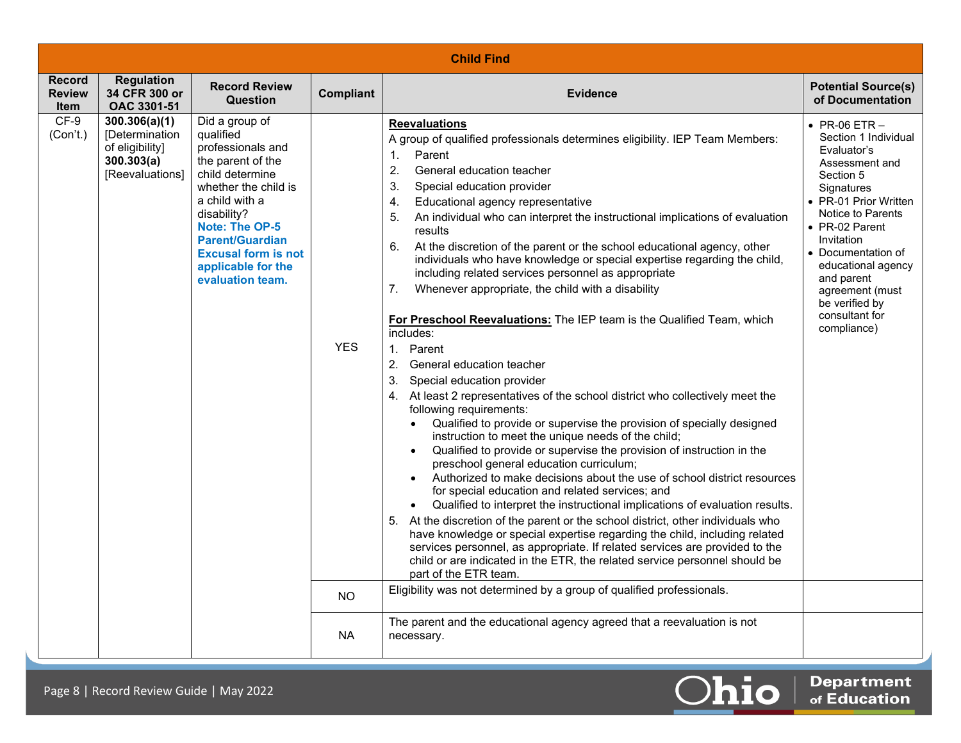|                                               | <b>Child Find</b>                                                                   |                                                                                                                                                                                                                                                                              |                                      |                                                                                                                                                                                                                                                                                                                                                                                                                                                                                                                                                                                                                                                                                                                                                                                                                                                                                                                                                                                                                                                                                                                                                                                                                                                                                                                                                                                                                                                                                                                                                                                                                                                                                                                                                                                                                                                                                                                                                                                   |                                                                                                                                                                                                                                                                                                                           |  |  |
|-----------------------------------------------|-------------------------------------------------------------------------------------|------------------------------------------------------------------------------------------------------------------------------------------------------------------------------------------------------------------------------------------------------------------------------|--------------------------------------|-----------------------------------------------------------------------------------------------------------------------------------------------------------------------------------------------------------------------------------------------------------------------------------------------------------------------------------------------------------------------------------------------------------------------------------------------------------------------------------------------------------------------------------------------------------------------------------------------------------------------------------------------------------------------------------------------------------------------------------------------------------------------------------------------------------------------------------------------------------------------------------------------------------------------------------------------------------------------------------------------------------------------------------------------------------------------------------------------------------------------------------------------------------------------------------------------------------------------------------------------------------------------------------------------------------------------------------------------------------------------------------------------------------------------------------------------------------------------------------------------------------------------------------------------------------------------------------------------------------------------------------------------------------------------------------------------------------------------------------------------------------------------------------------------------------------------------------------------------------------------------------------------------------------------------------------------------------------------------------|---------------------------------------------------------------------------------------------------------------------------------------------------------------------------------------------------------------------------------------------------------------------------------------------------------------------------|--|--|
| <b>Record</b><br><b>Review</b><br><b>Item</b> | <b>Regulation</b><br>34 CFR 300 or<br>OAC 3301-51                                   | <b>Record Review</b><br>Question                                                                                                                                                                                                                                             | Compliant                            | <b>Evidence</b>                                                                                                                                                                                                                                                                                                                                                                                                                                                                                                                                                                                                                                                                                                                                                                                                                                                                                                                                                                                                                                                                                                                                                                                                                                                                                                                                                                                                                                                                                                                                                                                                                                                                                                                                                                                                                                                                                                                                                                   | <b>Potential Source(s)</b><br>of Documentation                                                                                                                                                                                                                                                                            |  |  |
| $CF-9$<br>(Con't.)                            | 300.306(a)(1)<br>[Determination<br>of eligibility]<br>300.303(a)<br>[Reevaluations] | Did a group of<br>qualified<br>professionals and<br>the parent of the<br>child determine<br>whether the child is<br>a child with a<br>disability?<br><b>Note: The OP-5</b><br><b>Parent/Guardian</b><br><b>Excusal form is not</b><br>applicable for the<br>evaluation team. | <b>YES</b><br><b>NO</b><br><b>NA</b> | <b>Reevaluations</b><br>A group of qualified professionals determines eligibility. IEP Team Members:<br>1 <sub>1</sub><br>Parent<br>$\overline{2}$ .<br>General education teacher<br>3.<br>Special education provider<br>Educational agency representative<br>4.<br>An individual who can interpret the instructional implications of evaluation<br>5.<br>results<br>6.<br>At the discretion of the parent or the school educational agency, other<br>individuals who have knowledge or special expertise regarding the child,<br>including related services personnel as appropriate<br>7.<br>Whenever appropriate, the child with a disability<br>For Preschool Reevaluations: The IEP team is the Qualified Team, which<br>includes:<br>1. Parent<br>2. General education teacher<br>3. Special education provider<br>4. At least 2 representatives of the school district who collectively meet the<br>following requirements:<br>Qualified to provide or supervise the provision of specially designed<br>$\bullet$<br>instruction to meet the unique needs of the child;<br>Qualified to provide or supervise the provision of instruction in the<br>$\bullet$<br>preschool general education curriculum;<br>Authorized to make decisions about the use of school district resources<br>$\bullet$<br>for special education and related services; and<br>Qualified to interpret the instructional implications of evaluation results.<br>$\bullet$<br>5. At the discretion of the parent or the school district, other individuals who<br>have knowledge or special expertise regarding the child, including related<br>services personnel, as appropriate. If related services are provided to the<br>child or are indicated in the ETR, the related service personnel should be<br>part of the ETR team.<br>Eligibility was not determined by a group of qualified professionals.<br>The parent and the educational agency agreed that a reevaluation is not<br>necessary. | $\bullet$ PR-06 ETR $-$<br>Section 1 Individual<br>Evaluator's<br>Assessment and<br>Section 5<br>Signatures<br>• PR-01 Prior Written<br>Notice to Parents<br>• PR-02 Parent<br>Invitation<br>• Documentation of<br>educational agency<br>and parent<br>agreement (must<br>be verified by<br>consultant for<br>compliance) |  |  |
|                                               |                                                                                     |                                                                                                                                                                                                                                                                              |                                      |                                                                                                                                                                                                                                                                                                                                                                                                                                                                                                                                                                                                                                                                                                                                                                                                                                                                                                                                                                                                                                                                                                                                                                                                                                                                                                                                                                                                                                                                                                                                                                                                                                                                                                                                                                                                                                                                                                                                                                                   |                                                                                                                                                                                                                                                                                                                           |  |  |

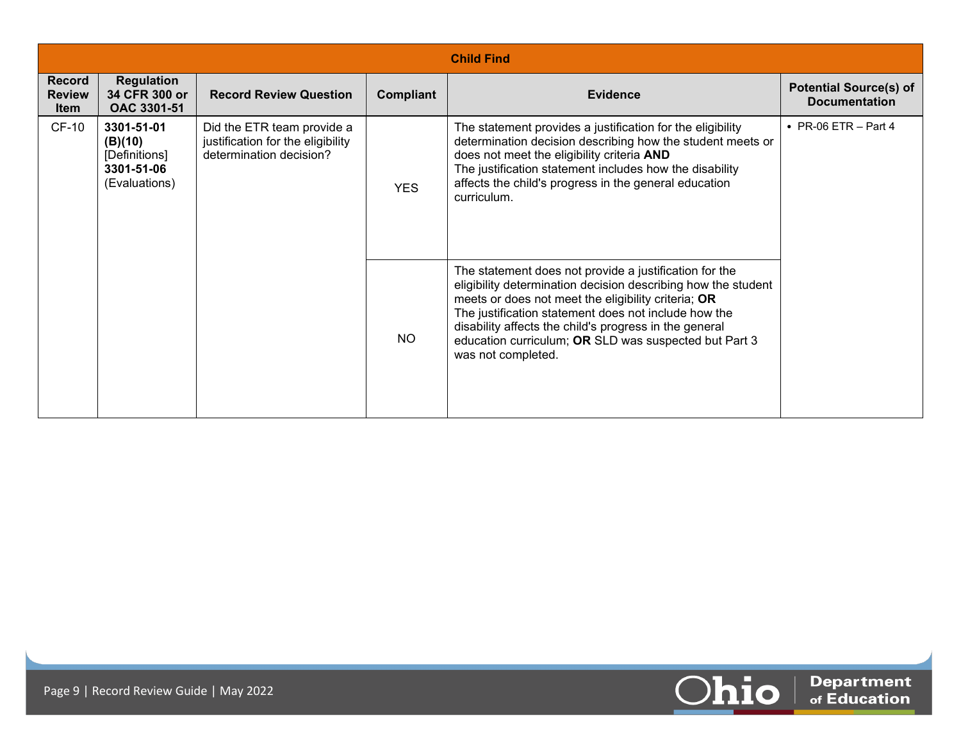|                                               | <b>Child Find</b>                                                     |                                                                                            |            |                                                                                                                                                                                                                                                                                                                                                                                 |                                                       |  |  |  |
|-----------------------------------------------|-----------------------------------------------------------------------|--------------------------------------------------------------------------------------------|------------|---------------------------------------------------------------------------------------------------------------------------------------------------------------------------------------------------------------------------------------------------------------------------------------------------------------------------------------------------------------------------------|-------------------------------------------------------|--|--|--|
| <b>Record</b><br><b>Review</b><br><b>Item</b> | <b>Regulation</b><br>34 CFR 300 or<br>OAC 3301-51                     | <b>Record Review Question</b>                                                              | Compliant  | <b>Evidence</b>                                                                                                                                                                                                                                                                                                                                                                 | <b>Potential Source(s) of</b><br><b>Documentation</b> |  |  |  |
| <b>CF-10</b>                                  | 3301-51-01<br>(B)(10)<br>[Definitions]<br>3301-51-06<br>(Evaluations) | Did the ETR team provide a<br>justification for the eligibility<br>determination decision? | <b>YES</b> | The statement provides a justification for the eligibility<br>determination decision describing how the student meets or<br>does not meet the eligibility criteria AND<br>The justification statement includes how the disability<br>affects the child's progress in the general education<br>curriculum.                                                                       | • PR-06 ETR $-$ Part 4                                |  |  |  |
|                                               |                                                                       |                                                                                            | <b>NO</b>  | The statement does not provide a justification for the<br>eligibility determination decision describing how the student<br>meets or does not meet the eligibility criteria; OR<br>The justification statement does not include how the<br>disability affects the child's progress in the general<br>education curriculum; OR SLD was suspected but Part 3<br>was not completed. |                                                       |  |  |  |

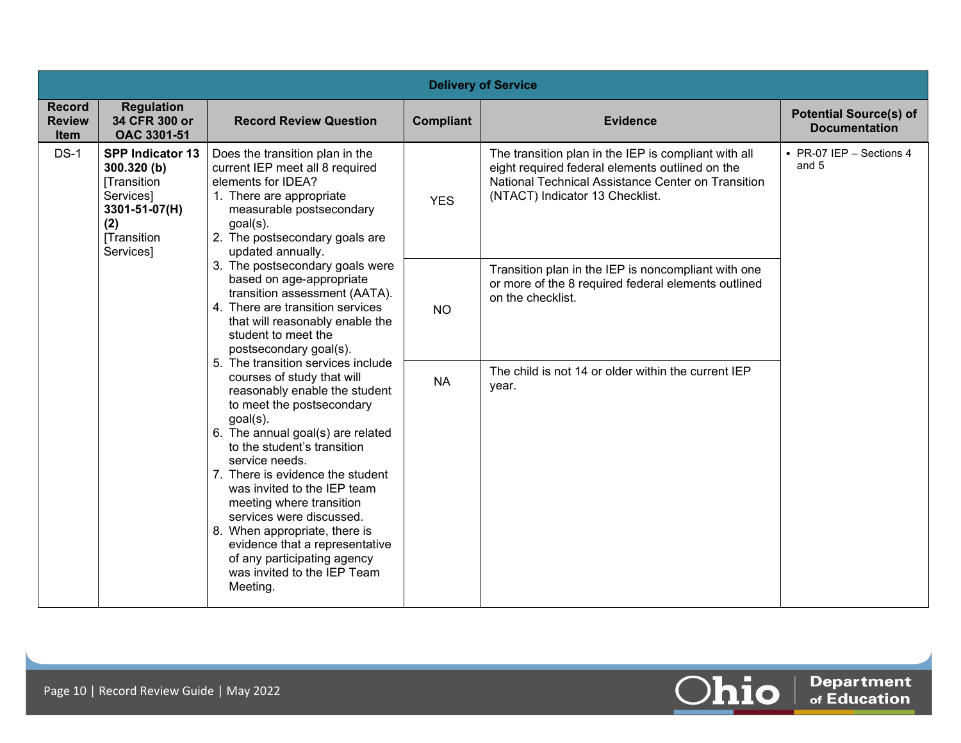|                                               | <b>Delivery of Service</b>                                                                                                                                                                                           |                                                                                                                                                                                                                                                                                                                                                                                                                                                                                                          |                                                                                                                                 |                                                                                                                                                                                                  |                                                       |  |  |  |  |
|-----------------------------------------------|----------------------------------------------------------------------------------------------------------------------------------------------------------------------------------------------------------------------|----------------------------------------------------------------------------------------------------------------------------------------------------------------------------------------------------------------------------------------------------------------------------------------------------------------------------------------------------------------------------------------------------------------------------------------------------------------------------------------------------------|---------------------------------------------------------------------------------------------------------------------------------|--------------------------------------------------------------------------------------------------------------------------------------------------------------------------------------------------|-------------------------------------------------------|--|--|--|--|
| <b>Record</b><br><b>Review</b><br><b>Item</b> | <b>Regulation</b><br>34 CFR 300 or<br><b>OAC 3301-51</b>                                                                                                                                                             | <b>Record Review Question</b>                                                                                                                                                                                                                                                                                                                                                                                                                                                                            | <b>Compliant</b>                                                                                                                | <b>Evidence</b>                                                                                                                                                                                  | <b>Potential Source(s) of</b><br><b>Documentation</b> |  |  |  |  |
| $DS-1$                                        | <b>SPP Indicator 13</b><br>300.320 (b)<br><b>Transition</b><br>Services]<br>3301-51-07(H)<br>(2)<br><b>Transition</b><br>Services]                                                                                   | Does the transition plan in the<br>current IEP meet all 8 required<br>elements for IDEA?<br>1. There are appropriate<br>measurable postsecondary<br>$goal(s)$ .<br>2. The postsecondary goals are<br>updated annually.                                                                                                                                                                                                                                                                                   | <b>YES</b>                                                                                                                      | The transition plan in the IEP is compliant with all<br>eight required federal elements outlined on the<br>National Technical Assistance Center on Transition<br>(NTACT) Indicator 13 Checklist. | • PR-07 IEP - Sections 4<br>and 5                     |  |  |  |  |
|                                               | 3. The postsecondary goals were<br>based on age-appropriate<br>transition assessment (AATA).<br>4. There are transition services<br>that will reasonably enable the<br>student to meet the<br>postsecondary goal(s). | <b>NO</b>                                                                                                                                                                                                                                                                                                                                                                                                                                                                                                | Transition plan in the IEP is noncompliant with one<br>or more of the 8 required federal elements outlined<br>on the checklist. |                                                                                                                                                                                                  |                                                       |  |  |  |  |
|                                               |                                                                                                                                                                                                                      | 5. The transition services include<br>courses of study that will<br>reasonably enable the student<br>to meet the postsecondary<br>goal(s).<br>6. The annual goal(s) are related<br>to the student's transition<br>service needs.<br>7. There is evidence the student<br>was invited to the IEP team<br>meeting where transition<br>services were discussed.<br>8. When appropriate, there is<br>evidence that a representative<br>of any participating agency<br>was invited to the IEP Team<br>Meeting. | <b>NA</b>                                                                                                                       | The child is not 14 or older within the current IEP<br>year.                                                                                                                                     |                                                       |  |  |  |  |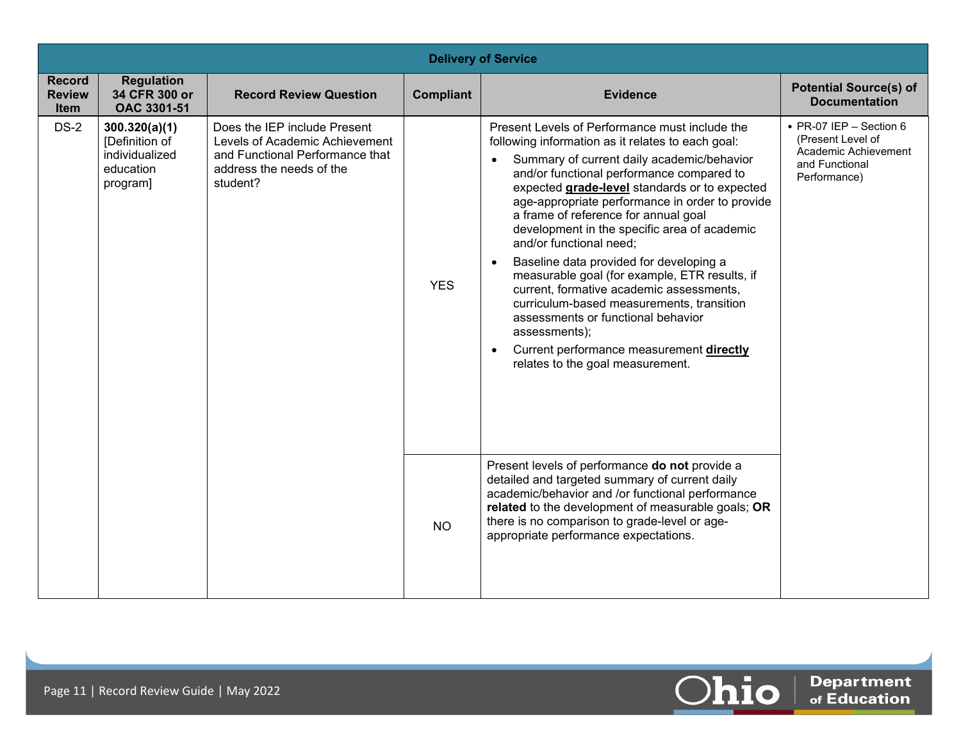|                                               | <b>Delivery of Service</b>                                                 |                                                                                                                                           |                  |                                                                                                                                                                                                                                                                                                                                                                                                                                                                                                                                                                                                                                                                                                                                                                             |                                                                                                        |  |  |  |  |
|-----------------------------------------------|----------------------------------------------------------------------------|-------------------------------------------------------------------------------------------------------------------------------------------|------------------|-----------------------------------------------------------------------------------------------------------------------------------------------------------------------------------------------------------------------------------------------------------------------------------------------------------------------------------------------------------------------------------------------------------------------------------------------------------------------------------------------------------------------------------------------------------------------------------------------------------------------------------------------------------------------------------------------------------------------------------------------------------------------------|--------------------------------------------------------------------------------------------------------|--|--|--|--|
| <b>Record</b><br><b>Review</b><br><b>Item</b> | <b>Regulation</b><br>34 CFR 300 or<br>OAC 3301-51                          | <b>Record Review Question</b>                                                                                                             | <b>Compliant</b> | <b>Evidence</b>                                                                                                                                                                                                                                                                                                                                                                                                                                                                                                                                                                                                                                                                                                                                                             | <b>Potential Source(s) of</b><br><b>Documentation</b>                                                  |  |  |  |  |
| $DS-2$                                        | 300.320(a)(1)<br>[Definition of<br>individualized<br>education<br>program] | Does the IEP include Present<br>Levels of Academic Achievement<br>and Functional Performance that<br>address the needs of the<br>student? | <b>YES</b>       | Present Levels of Performance must include the<br>following information as it relates to each goal:<br>Summary of current daily academic/behavior<br>and/or functional performance compared to<br>expected grade-level standards or to expected<br>age-appropriate performance in order to provide<br>a frame of reference for annual goal<br>development in the specific area of academic<br>and/or functional need;<br>Baseline data provided for developing a<br>$\bullet$<br>measurable goal (for example, ETR results, if<br>current, formative academic assessments,<br>curriculum-based measurements, transition<br>assessments or functional behavior<br>assessments);<br>Current performance measurement directly<br>$\bullet$<br>relates to the goal measurement. | • PR-07 IEP - Section 6<br>(Present Level of<br>Academic Achievement<br>and Functional<br>Performance) |  |  |  |  |
|                                               |                                                                            |                                                                                                                                           | <b>NO</b>        | Present levels of performance do not provide a<br>detailed and targeted summary of current daily<br>academic/behavior and /or functional performance<br>related to the development of measurable goals; OR<br>there is no comparison to grade-level or age-<br>appropriate performance expectations.                                                                                                                                                                                                                                                                                                                                                                                                                                                                        |                                                                                                        |  |  |  |  |

 $\boxed{\textcolor{red}{\textbf{O}}}$   $\boxed{\textcolor{red}{\textbf{o}}$   $\textcolor{red}{\textbf{o}}$   $\textcolor{red}{\textbf{C}}$   $\textcolor{red}{\textbf{C}}$   $\textcolor{red}{\textbf{C}}$   $\textcolor{red}{\textbf{C}}$   $\textcolor{red}{\textbf{C}}$   $\textcolor{red}{\textbf{C}}$   $\textcolor{red}{\textbf{C}}$   $\textcolor{red}{\textbf{C}}$   $\textcolor{red}{\textbf{C}}$   $\textcolor{red}{\textbf{C}}$   $\textcolor{red}{\textbf{C}}$   $\textcolor{red$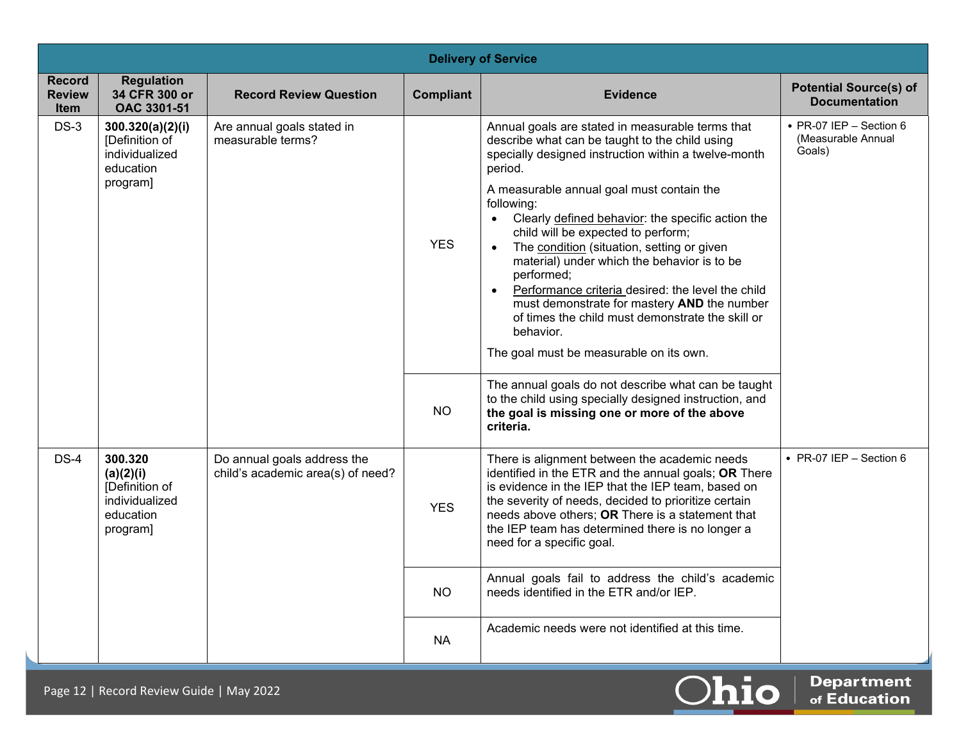|                                               | <b>Delivery of Service</b>                                                        |                                                                  |                   |                                                                                                                                                                                                                                                                                                                                                                                                                                                                                                                                                                                                                                                                                                                                                                                                                                        |                                                                 |  |  |  |  |
|-----------------------------------------------|-----------------------------------------------------------------------------------|------------------------------------------------------------------|-------------------|----------------------------------------------------------------------------------------------------------------------------------------------------------------------------------------------------------------------------------------------------------------------------------------------------------------------------------------------------------------------------------------------------------------------------------------------------------------------------------------------------------------------------------------------------------------------------------------------------------------------------------------------------------------------------------------------------------------------------------------------------------------------------------------------------------------------------------------|-----------------------------------------------------------------|--|--|--|--|
| <b>Record</b><br><b>Review</b><br><b>Item</b> | <b>Regulation</b><br>34 CFR 300 or<br>OAC 3301-51                                 | <b>Record Review Question</b>                                    | <b>Compliant</b>  | <b>Evidence</b>                                                                                                                                                                                                                                                                                                                                                                                                                                                                                                                                                                                                                                                                                                                                                                                                                        | <b>Potential Source(s) of</b><br><b>Documentation</b>           |  |  |  |  |
| $DS-3$                                        | 300.320(a)(2)(i)<br>[Definition of<br>individualized<br>education<br>program]     | Are annual goals stated in<br>measurable terms?                  | <b>YES</b><br>NO. | Annual goals are stated in measurable terms that<br>describe what can be taught to the child using<br>specially designed instruction within a twelve-month<br>period.<br>A measurable annual goal must contain the<br>following:<br>• Clearly defined behavior: the specific action the<br>child will be expected to perform;<br>The condition (situation, setting or given<br>material) under which the behavior is to be<br>performed;<br>Performance criteria desired: the level the child<br>must demonstrate for mastery AND the number<br>of times the child must demonstrate the skill or<br>behavior.<br>The goal must be measurable on its own.<br>The annual goals do not describe what can be taught<br>to the child using specially designed instruction, and<br>the goal is missing one or more of the above<br>criteria. | $\bullet$ PR-07 IEP - Section 6<br>(Measurable Annual<br>Goals) |  |  |  |  |
| $DS-4$                                        | 300.320<br>(a)(2)(i)<br>[Definition of<br>individualized<br>education<br>program] | Do annual goals address the<br>child's academic area(s) of need? | <b>YES</b>        | There is alignment between the academic needs<br>identified in the ETR and the annual goals; OR There<br>is evidence in the IEP that the IEP team, based on<br>the severity of needs, decided to prioritize certain<br>needs above others; OR There is a statement that<br>the IEP team has determined there is no longer a<br>need for a specific goal.                                                                                                                                                                                                                                                                                                                                                                                                                                                                               | • PR-07 IEP - Section 6                                         |  |  |  |  |
|                                               |                                                                                   |                                                                  | NO.               | Annual goals fail to address the child's academic<br>needs identified in the ETR and/or IEP.                                                                                                                                                                                                                                                                                                                                                                                                                                                                                                                                                                                                                                                                                                                                           |                                                                 |  |  |  |  |
|                                               |                                                                                   |                                                                  | <b>NA</b>         | Academic needs were not identified at this time.                                                                                                                                                                                                                                                                                                                                                                                                                                                                                                                                                                                                                                                                                                                                                                                       |                                                                 |  |  |  |  |

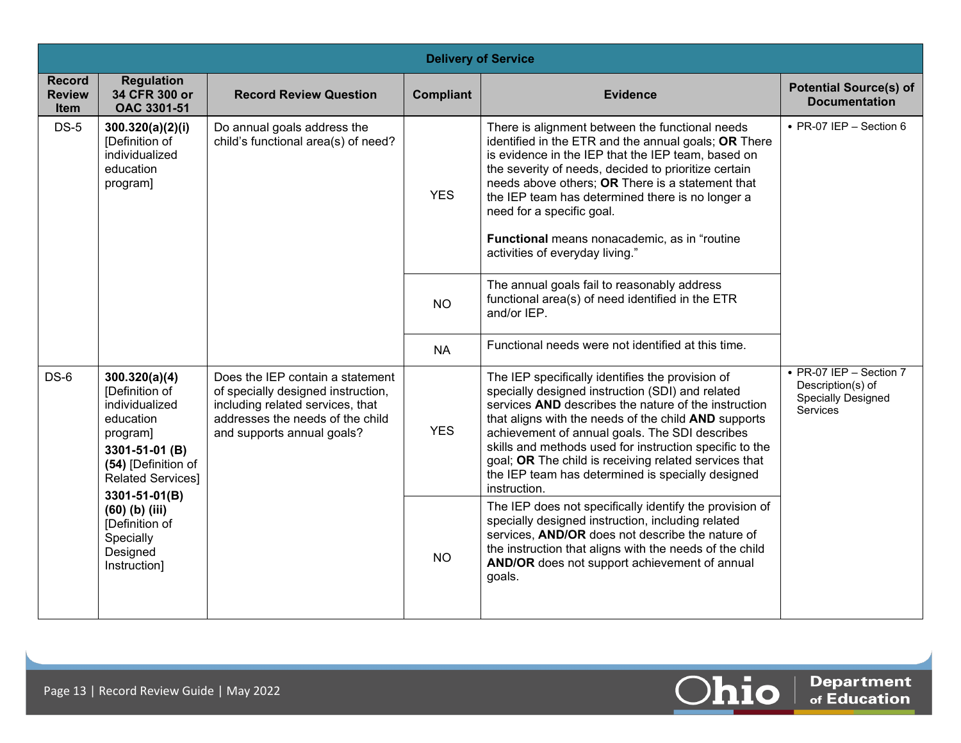|                                               | <b>Delivery of Service</b>                                                                                                                                                                                                                      |                                                                                                                                                                              |                  |                                                                                                                                                                                                                                                                                                                                                                                                                                                                 |                                                                                              |
|-----------------------------------------------|-------------------------------------------------------------------------------------------------------------------------------------------------------------------------------------------------------------------------------------------------|------------------------------------------------------------------------------------------------------------------------------------------------------------------------------|------------------|-----------------------------------------------------------------------------------------------------------------------------------------------------------------------------------------------------------------------------------------------------------------------------------------------------------------------------------------------------------------------------------------------------------------------------------------------------------------|----------------------------------------------------------------------------------------------|
| <b>Record</b><br><b>Review</b><br><b>Item</b> | <b>Regulation</b><br>34 CFR 300 or<br><b>OAC 3301-51</b>                                                                                                                                                                                        | <b>Record Review Question</b>                                                                                                                                                | <b>Compliant</b> | <b>Evidence</b>                                                                                                                                                                                                                                                                                                                                                                                                                                                 | <b>Potential Source(s) of</b><br><b>Documentation</b>                                        |
| $DS-5$                                        | 300.320(a)(2)(i)<br>[Definition of<br>individualized<br>education<br>program]                                                                                                                                                                   | Do annual goals address the<br>child's functional area(s) of need?                                                                                                           | <b>YES</b>       | There is alignment between the functional needs<br>identified in the ETR and the annual goals; OR There<br>is evidence in the IEP that the IEP team, based on<br>the severity of needs, decided to prioritize certain<br>needs above others; OR There is a statement that<br>the IEP team has determined there is no longer a<br>need for a specific goal.<br>Functional means nonacademic, as in "routine<br>activities of everyday living."                   | • PR-07 IEP - Section $6$                                                                    |
|                                               |                                                                                                                                                                                                                                                 |                                                                                                                                                                              | <b>NO</b>        | The annual goals fail to reasonably address<br>functional area(s) of need identified in the ETR<br>and/or IEP.                                                                                                                                                                                                                                                                                                                                                  |                                                                                              |
|                                               |                                                                                                                                                                                                                                                 |                                                                                                                                                                              | <b>NA</b>        | Functional needs were not identified at this time.                                                                                                                                                                                                                                                                                                                                                                                                              |                                                                                              |
| $DS-6$                                        | 300.320(a)(4)<br>[Definition of<br>individualized<br>education<br>program]<br>3301-51-01 (B)<br>(54) [Definition of<br><b>Related Services]</b><br>3301-51-01(B)<br>$(60)$ (b) (iii)<br>[Definition of<br>Specially<br>Designed<br>Instruction] | Does the IEP contain a statement<br>of specially designed instruction,<br>including related services, that<br>addresses the needs of the child<br>and supports annual goals? | <b>YES</b>       | The IEP specifically identifies the provision of<br>specially designed instruction (SDI) and related<br>services AND describes the nature of the instruction<br>that aligns with the needs of the child AND supports<br>achievement of annual goals. The SDI describes<br>skills and methods used for instruction specific to the<br>goal; OR The child is receiving related services that<br>the IEP team has determined is specially designed<br>instruction. | • PR-07 IEP - Section 7<br>Description(s) of<br><b>Specially Designed</b><br><b>Services</b> |
|                                               |                                                                                                                                                                                                                                                 |                                                                                                                                                                              | <b>NO</b>        | The IEP does not specifically identify the provision of<br>specially designed instruction, including related<br>services, AND/OR does not describe the nature of<br>the instruction that aligns with the needs of the child<br>AND/OR does not support achievement of annual<br>goals.                                                                                                                                                                          |                                                                                              |

 $\boxed{\textcolor{red}{\textbf{O}}}$   $\boxed{\textcolor{red}{\textbf{o}}$   $\textcolor{red}{\textbf{o}}$   $\textcolor{red}{\textbf{C}}$   $\textcolor{red}{\textbf{C}}$   $\textcolor{red}{\textbf{C}}$   $\textcolor{red}{\textbf{C}}$   $\textcolor{red}{\textbf{C}}$   $\textcolor{red}{\textbf{C}}$   $\textcolor{red}{\textbf{C}}$   $\textcolor{red}{\textbf{C}}$   $\textcolor{red}{\textbf{C}}$   $\textcolor{red}{\textbf{C}}$   $\textcolor{red}{\textbf{C}}$   $\textcolor{red$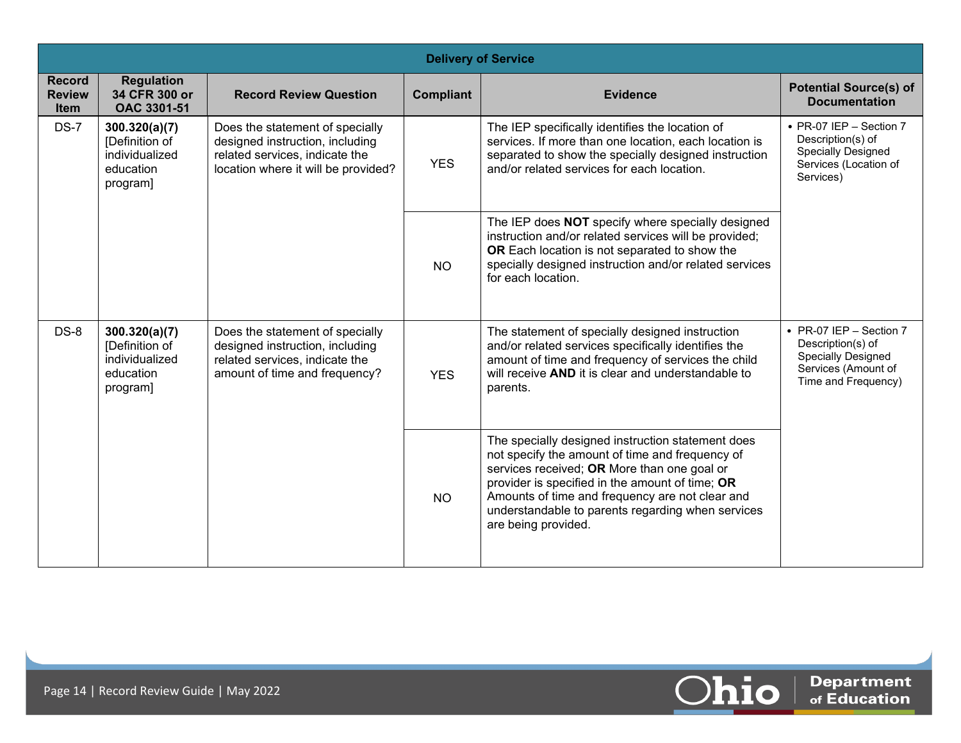|                                               | <b>Delivery of Service</b>                                                 |                                                                                                                                             |                  |                                                                                                                                                                                                                                                                                                                                       |                                                                                                                  |  |
|-----------------------------------------------|----------------------------------------------------------------------------|---------------------------------------------------------------------------------------------------------------------------------------------|------------------|---------------------------------------------------------------------------------------------------------------------------------------------------------------------------------------------------------------------------------------------------------------------------------------------------------------------------------------|------------------------------------------------------------------------------------------------------------------|--|
| <b>Record</b><br><b>Review</b><br><b>Item</b> | <b>Regulation</b><br>34 CFR 300 or<br>OAC 3301-51                          | <b>Record Review Question</b>                                                                                                               | <b>Compliant</b> | <b>Evidence</b>                                                                                                                                                                                                                                                                                                                       | <b>Potential Source(s) of</b><br><b>Documentation</b>                                                            |  |
| <b>DS-7</b>                                   | 300.320(a)(7)<br>[Definition of<br>individualized<br>education<br>program] | Does the statement of specially<br>designed instruction, including<br>related services, indicate the<br>location where it will be provided? | <b>YES</b>       | The IEP specifically identifies the location of<br>services. If more than one location, each location is<br>separated to show the specially designed instruction<br>and/or related services for each location.                                                                                                                        | • PR-07 IEP - Section 7<br>Description(s) of<br><b>Specially Designed</b><br>Services (Location of<br>Services)  |  |
|                                               |                                                                            |                                                                                                                                             | NO.              | The IEP does NOT specify where specially designed<br>instruction and/or related services will be provided;<br>OR Each location is not separated to show the<br>specially designed instruction and/or related services<br>for each location.                                                                                           |                                                                                                                  |  |
| $DS-8$                                        | 300.320(a)(7)<br>[Definition of<br>individualized<br>education<br>program] | Does the statement of specially<br>designed instruction, including<br>related services, indicate the<br>amount of time and frequency?       | <b>YES</b>       | The statement of specially designed instruction<br>and/or related services specifically identifies the<br>amount of time and frequency of services the child<br>will receive AND it is clear and understandable to<br>parents.                                                                                                        | • PR-07 IEP - Section 7<br>Description(s) of<br>Specially Designed<br>Services (Amount of<br>Time and Frequency) |  |
|                                               |                                                                            |                                                                                                                                             | <b>NO</b>        | The specially designed instruction statement does<br>not specify the amount of time and frequency of<br>services received; OR More than one goal or<br>provider is specified in the amount of time; OR<br>Amounts of time and frequency are not clear and<br>understandable to parents regarding when services<br>are being provided. |                                                                                                                  |  |

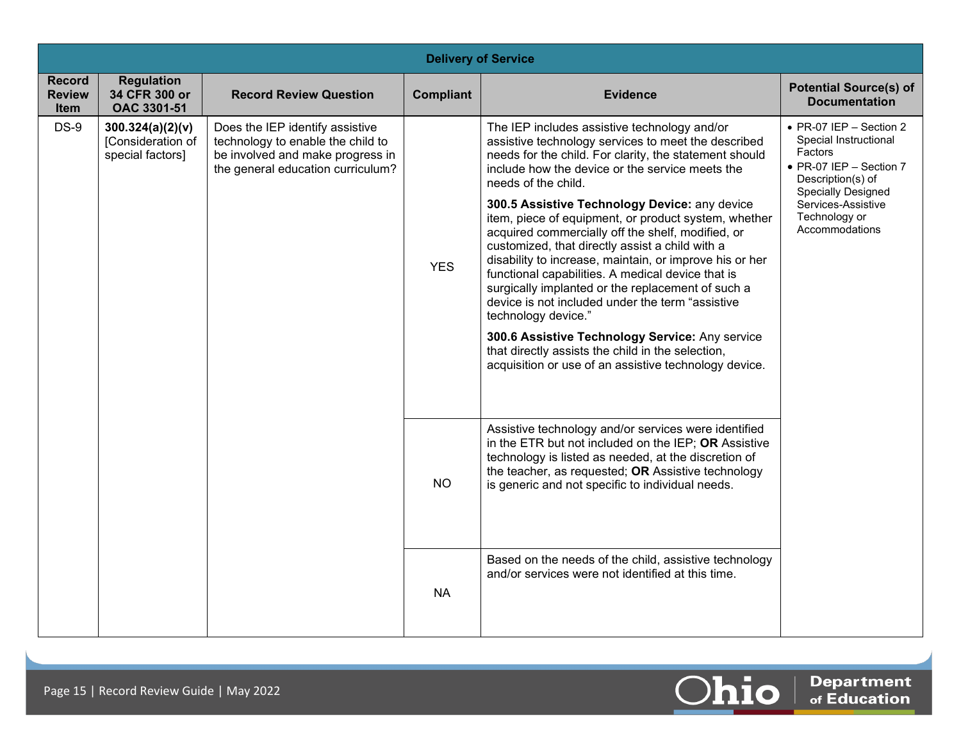|                                               | <b>Delivery of Service</b>                                |                                                                                                                                               |                  |                                                                                                                                                                                                                                                                                                                                                                                                                                                                                                                                                                                                                                                                                                                                                                                                                                                                           |                                                                                                                                                                                                   |  |  |
|-----------------------------------------------|-----------------------------------------------------------|-----------------------------------------------------------------------------------------------------------------------------------------------|------------------|---------------------------------------------------------------------------------------------------------------------------------------------------------------------------------------------------------------------------------------------------------------------------------------------------------------------------------------------------------------------------------------------------------------------------------------------------------------------------------------------------------------------------------------------------------------------------------------------------------------------------------------------------------------------------------------------------------------------------------------------------------------------------------------------------------------------------------------------------------------------------|---------------------------------------------------------------------------------------------------------------------------------------------------------------------------------------------------|--|--|
| <b>Record</b><br><b>Review</b><br><b>Item</b> | <b>Regulation</b><br>34 CFR 300 or<br>OAC 3301-51         | <b>Record Review Question</b>                                                                                                                 | <b>Compliant</b> | <b>Evidence</b>                                                                                                                                                                                                                                                                                                                                                                                                                                                                                                                                                                                                                                                                                                                                                                                                                                                           | <b>Potential Source(s) of</b><br><b>Documentation</b>                                                                                                                                             |  |  |
| $DS-9$                                        | 300.324(a)(2)(v)<br>[Consideration of<br>special factors] | Does the IEP identify assistive<br>technology to enable the child to<br>be involved and make progress in<br>the general education curriculum? | <b>YES</b>       | The IEP includes assistive technology and/or<br>assistive technology services to meet the described<br>needs for the child. For clarity, the statement should<br>include how the device or the service meets the<br>needs of the child.<br>300.5 Assistive Technology Device: any device<br>item, piece of equipment, or product system, whether<br>acquired commercially off the shelf, modified, or<br>customized, that directly assist a child with a<br>disability to increase, maintain, or improve his or her<br>functional capabilities. A medical device that is<br>surgically implanted or the replacement of such a<br>device is not included under the term "assistive<br>technology device."<br>300.6 Assistive Technology Service: Any service<br>that directly assists the child in the selection,<br>acquisition or use of an assistive technology device. | • PR-07 IEP - Section 2<br>Special Instructional<br>Factors<br>• PR-07 IEP - Section 7<br>Description(s) of<br><b>Specially Designed</b><br>Services-Assistive<br>Technology or<br>Accommodations |  |  |
|                                               |                                                           |                                                                                                                                               | <b>NO</b>        | Assistive technology and/or services were identified<br>in the ETR but not included on the IEP; OR Assistive<br>technology is listed as needed, at the discretion of<br>the teacher, as requested; OR Assistive technology<br>is generic and not specific to individual needs.                                                                                                                                                                                                                                                                                                                                                                                                                                                                                                                                                                                            |                                                                                                                                                                                                   |  |  |
|                                               |                                                           |                                                                                                                                               | <b>NA</b>        | Based on the needs of the child, assistive technology<br>and/or services were not identified at this time.                                                                                                                                                                                                                                                                                                                                                                                                                                                                                                                                                                                                                                                                                                                                                                |                                                                                                                                                                                                   |  |  |

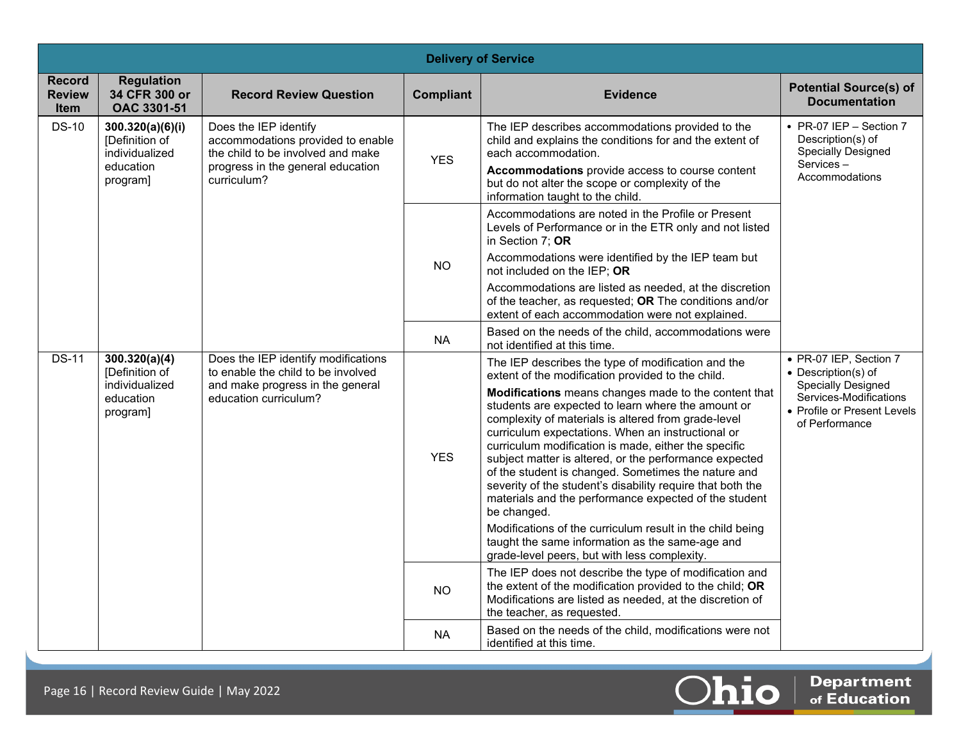|                                               | <b>Delivery of Service</b>                                                                                                                                                                                                           |                                                                                                                                        |                                                                                                                                                                                                                                                                              |                                                                                                                                                                                                                                                                                                                                                                                                                                                                                                                                                                                                                                                                                                                                                                                                                  |                                                                                                                                                       |  |  |
|-----------------------------------------------|--------------------------------------------------------------------------------------------------------------------------------------------------------------------------------------------------------------------------------------|----------------------------------------------------------------------------------------------------------------------------------------|------------------------------------------------------------------------------------------------------------------------------------------------------------------------------------------------------------------------------------------------------------------------------|------------------------------------------------------------------------------------------------------------------------------------------------------------------------------------------------------------------------------------------------------------------------------------------------------------------------------------------------------------------------------------------------------------------------------------------------------------------------------------------------------------------------------------------------------------------------------------------------------------------------------------------------------------------------------------------------------------------------------------------------------------------------------------------------------------------|-------------------------------------------------------------------------------------------------------------------------------------------------------|--|--|
| <b>Record</b><br><b>Review</b><br><b>Item</b> | <b>Regulation</b><br>34 CFR 300 or<br>OAC 3301-51                                                                                                                                                                                    | <b>Record Review Question</b>                                                                                                          | <b>Compliant</b>                                                                                                                                                                                                                                                             | <b>Evidence</b>                                                                                                                                                                                                                                                                                                                                                                                                                                                                                                                                                                                                                                                                                                                                                                                                  | <b>Potential Source(s) of</b><br><b>Documentation</b>                                                                                                 |  |  |
| <b>DS-10</b>                                  | 300.320(a)(6)(i)<br>Does the IEP identify<br>[Definition of<br>accommodations provided to enable<br>individualized<br>the child to be involved and make<br>education<br>progress in the general education<br>curriculum?<br>program] | <b>YES</b>                                                                                                                             | The IEP describes accommodations provided to the<br>child and explains the conditions for and the extent of<br>each accommodation.<br>Accommodations provide access to course content<br>but do not alter the scope or complexity of the<br>information taught to the child. | • PR-07 IEP - Section 7<br>Description(s) of<br><b>Specially Designed</b><br>Services-<br>Accommodations                                                                                                                                                                                                                                                                                                                                                                                                                                                                                                                                                                                                                                                                                                         |                                                                                                                                                       |  |  |
|                                               |                                                                                                                                                                                                                                      |                                                                                                                                        |                                                                                                                                                                                                                                                                              | Accommodations are noted in the Profile or Present<br>Levels of Performance or in the ETR only and not listed<br>in Section 7; OR                                                                                                                                                                                                                                                                                                                                                                                                                                                                                                                                                                                                                                                                                |                                                                                                                                                       |  |  |
|                                               |                                                                                                                                                                                                                                      |                                                                                                                                        | <b>NO</b>                                                                                                                                                                                                                                                                    | Accommodations were identified by the IEP team but<br>not included on the IEP; OR                                                                                                                                                                                                                                                                                                                                                                                                                                                                                                                                                                                                                                                                                                                                |                                                                                                                                                       |  |  |
|                                               |                                                                                                                                                                                                                                      |                                                                                                                                        |                                                                                                                                                                                                                                                                              | Accommodations are listed as needed, at the discretion<br>of the teacher, as requested; OR The conditions and/or<br>extent of each accommodation were not explained.                                                                                                                                                                                                                                                                                                                                                                                                                                                                                                                                                                                                                                             |                                                                                                                                                       |  |  |
|                                               |                                                                                                                                                                                                                                      |                                                                                                                                        | <b>NA</b>                                                                                                                                                                                                                                                                    | Based on the needs of the child, accommodations were<br>not identified at this time.                                                                                                                                                                                                                                                                                                                                                                                                                                                                                                                                                                                                                                                                                                                             |                                                                                                                                                       |  |  |
| <b>DS-11</b>                                  | 300.320(a)(4)<br>[Definition of<br>individualized<br>education<br>program]                                                                                                                                                           | Does the IEP identify modifications<br>to enable the child to be involved<br>and make progress in the general<br>education curriculum? | <b>YES</b>                                                                                                                                                                                                                                                                   | The IEP describes the type of modification and the<br>extent of the modification provided to the child.<br>Modifications means changes made to the content that<br>students are expected to learn where the amount or<br>complexity of materials is altered from grade-level<br>curriculum expectations. When an instructional or<br>curriculum modification is made, either the specific<br>subject matter is altered, or the performance expected<br>of the student is changed. Sometimes the nature and<br>severity of the student's disability require that both the<br>materials and the performance expected of the student<br>be changed.<br>Modifications of the curriculum result in the child being<br>taught the same information as the same-age and<br>grade-level peers, but with less complexity. | • PR-07 IEP, Section 7<br>• Description(s) of<br><b>Specially Designed</b><br>Services-Modifications<br>• Profile or Present Levels<br>of Performance |  |  |
|                                               |                                                                                                                                                                                                                                      |                                                                                                                                        | <b>NO</b>                                                                                                                                                                                                                                                                    | The IEP does not describe the type of modification and<br>the extent of the modification provided to the child; OR<br>Modifications are listed as needed, at the discretion of<br>the teacher, as requested.                                                                                                                                                                                                                                                                                                                                                                                                                                                                                                                                                                                                     |                                                                                                                                                       |  |  |
|                                               |                                                                                                                                                                                                                                      |                                                                                                                                        | NA.                                                                                                                                                                                                                                                                          | Based on the needs of the child, modifications were not<br>identified at this time.                                                                                                                                                                                                                                                                                                                                                                                                                                                                                                                                                                                                                                                                                                                              |                                                                                                                                                       |  |  |

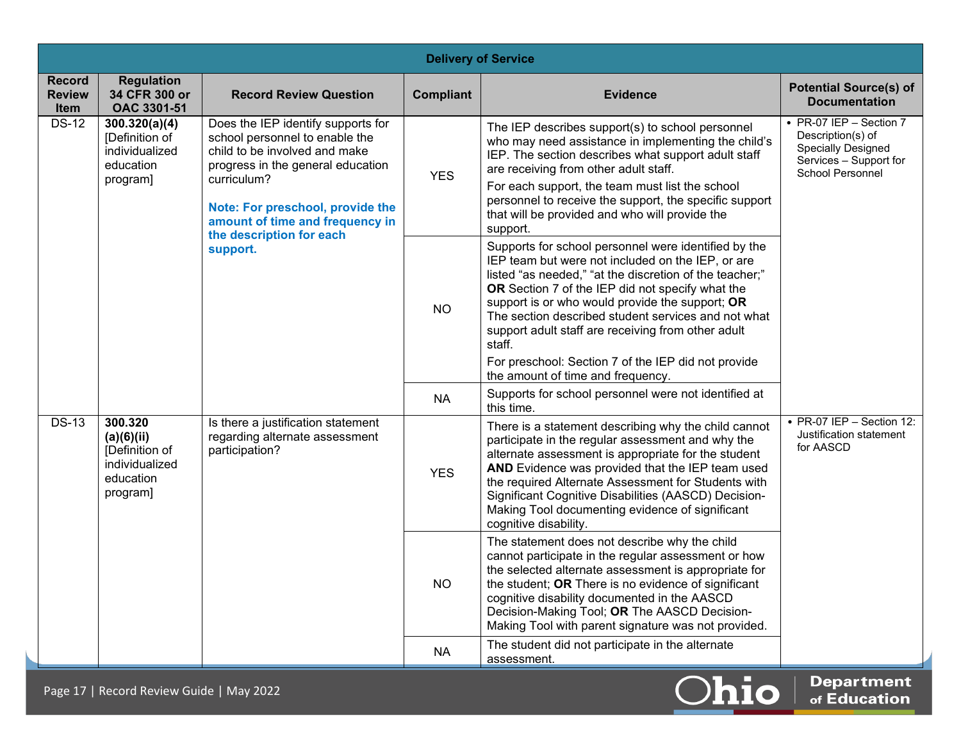|                                               | <b>Delivery of Service</b>                                                         |                                                                                                                                                                                                                                                              |                  |                                                                                                                                                                                                                                                                                                                                                                                                                                                                                                |                                                                                                                                      |  |
|-----------------------------------------------|------------------------------------------------------------------------------------|--------------------------------------------------------------------------------------------------------------------------------------------------------------------------------------------------------------------------------------------------------------|------------------|------------------------------------------------------------------------------------------------------------------------------------------------------------------------------------------------------------------------------------------------------------------------------------------------------------------------------------------------------------------------------------------------------------------------------------------------------------------------------------------------|--------------------------------------------------------------------------------------------------------------------------------------|--|
| <b>Record</b><br><b>Review</b><br><b>Item</b> | <b>Regulation</b><br>34 CFR 300 or<br>OAC 3301-51                                  | <b>Record Review Question</b>                                                                                                                                                                                                                                | <b>Compliant</b> | <b>Evidence</b>                                                                                                                                                                                                                                                                                                                                                                                                                                                                                | <b>Potential Source(s) of</b><br><b>Documentation</b>                                                                                |  |
| <b>DS-12</b>                                  | 300.320(a)(4)<br>[Definition of<br>individualized<br>education<br>program]         | Does the IEP identify supports for<br>school personnel to enable the<br>child to be involved and make<br>progress in the general education<br>curriculum?<br>Note: For preschool, provide the<br>amount of time and frequency in<br>the description for each | <b>YES</b>       | The IEP describes support(s) to school personnel<br>who may need assistance in implementing the child's<br>IEP. The section describes what support adult staff<br>are receiving from other adult staff.<br>For each support, the team must list the school<br>personnel to receive the support, the specific support<br>that will be provided and who will provide the<br>support.                                                                                                             | $\cdot$ PR-07 IEP - Section 7<br>Description(s) of<br><b>Specially Designed</b><br>Services - Support for<br><b>School Personnel</b> |  |
|                                               |                                                                                    | support.                                                                                                                                                                                                                                                     | <b>NO</b>        | Supports for school personnel were identified by the<br>IEP team but were not included on the IEP, or are<br>listed "as needed," "at the discretion of the teacher;"<br>OR Section 7 of the IEP did not specify what the<br>support is or who would provide the support; OR<br>The section described student services and not what<br>support adult staff are receiving from other adult<br>staff.<br>For preschool: Section 7 of the IEP did not provide<br>the amount of time and frequency. |                                                                                                                                      |  |
|                                               |                                                                                    |                                                                                                                                                                                                                                                              | <b>NA</b>        | Supports for school personnel were not identified at<br>this time.                                                                                                                                                                                                                                                                                                                                                                                                                             |                                                                                                                                      |  |
| $DS-13$                                       | 300.320<br>(a)(6)(ii)<br>[Definition of<br>individualized<br>education<br>program] | Is there a justification statement<br>regarding alternate assessment<br>participation?                                                                                                                                                                       | <b>YES</b>       | There is a statement describing why the child cannot<br>participate in the regular assessment and why the<br>alternate assessment is appropriate for the student<br>AND Evidence was provided that the IEP team used<br>the required Alternate Assessment for Students with<br>Significant Cognitive Disabilities (AASCD) Decision-<br>Making Tool documenting evidence of significant<br>cognitive disability.                                                                                | • PR-07 IEP - Section 12:<br>Justification statement<br>for AASCD                                                                    |  |
|                                               |                                                                                    |                                                                                                                                                                                                                                                              | <b>NO</b>        | The statement does not describe why the child<br>cannot participate in the regular assessment or how<br>the selected alternate assessment is appropriate for<br>the student; OR There is no evidence of significant<br>cognitive disability documented in the AASCD<br>Decision-Making Tool; OR The AASCD Decision-<br>Making Tool with parent signature was not provided.                                                                                                                     |                                                                                                                                      |  |
|                                               |                                                                                    |                                                                                                                                                                                                                                                              | <b>NA</b>        | The student did not participate in the alternate<br>assessment.                                                                                                                                                                                                                                                                                                                                                                                                                                |                                                                                                                                      |  |

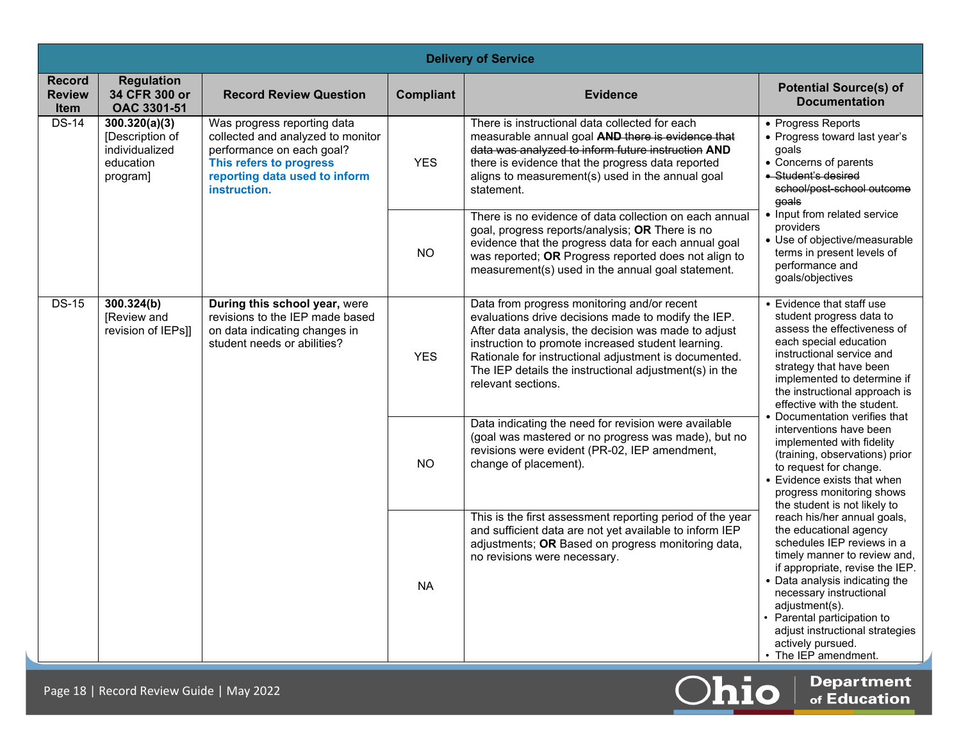|                                               | <b>Delivery of Service</b>                                                  |                                                                                                                                                                           |                  |                                                                                                                                                                                                                                                                                                                                                           |                                                                                                                                                                                                                                                                                                                                                                                                                                                                                                                      |  |
|-----------------------------------------------|-----------------------------------------------------------------------------|---------------------------------------------------------------------------------------------------------------------------------------------------------------------------|------------------|-----------------------------------------------------------------------------------------------------------------------------------------------------------------------------------------------------------------------------------------------------------------------------------------------------------------------------------------------------------|----------------------------------------------------------------------------------------------------------------------------------------------------------------------------------------------------------------------------------------------------------------------------------------------------------------------------------------------------------------------------------------------------------------------------------------------------------------------------------------------------------------------|--|
| <b>Record</b><br><b>Review</b><br><b>Item</b> | <b>Regulation</b><br>34 CFR 300 or<br>OAC 3301-51                           | <b>Record Review Question</b>                                                                                                                                             | <b>Compliant</b> | <b>Evidence</b>                                                                                                                                                                                                                                                                                                                                           | <b>Potential Source(s) of</b><br><b>Documentation</b>                                                                                                                                                                                                                                                                                                                                                                                                                                                                |  |
| $DS-14$                                       | 300.320(a)(3)<br>[Description of<br>individualized<br>education<br>program] | Was progress reporting data<br>collected and analyzed to monitor<br>performance on each goal?<br>This refers to progress<br>reporting data used to inform<br>instruction. | <b>YES</b>       | There is instructional data collected for each<br>measurable annual goal AND there is evidence that<br>data was analyzed to inform future instruction AND<br>there is evidence that the progress data reported<br>aligns to measurement(s) used in the annual goal<br>statement.                                                                          | • Progress Reports<br>• Progress toward last year's<br>qoals<br>• Concerns of parents<br>• Student's desired<br>school/post-school-outcome<br>qoals                                                                                                                                                                                                                                                                                                                                                                  |  |
|                                               |                                                                             |                                                                                                                                                                           | NO.              | There is no evidence of data collection on each annual<br>goal, progress reports/analysis; OR There is no<br>evidence that the progress data for each annual goal<br>was reported; OR Progress reported does not align to<br>measurement(s) used in the annual goal statement.                                                                            | • Input from related service<br>providers<br>• Use of objective/measurable<br>terms in present levels of<br>performance and<br>goals/objectives                                                                                                                                                                                                                                                                                                                                                                      |  |
| $DS-15$                                       | 300.324(b)<br>[Review and<br>revision of IEPs]]                             | During this school year, were<br>revisions to the IEP made based<br>on data indicating changes in<br>student needs or abilities?                                          | <b>YES</b>       | Data from progress monitoring and/or recent<br>evaluations drive decisions made to modify the IEP.<br>After data analysis, the decision was made to adjust<br>instruction to promote increased student learning.<br>Rationale for instructional adjustment is documented.<br>The IEP details the instructional adjustment(s) in the<br>relevant sections. | • Evidence that staff use<br>student progress data to<br>assess the effectiveness of<br>each special education<br>instructional service and<br>strategy that have been<br>implemented to determine if<br>the instructional approach is<br>effective with the student.<br>Documentation verifies that<br>interventions have been<br>implemented with fidelity<br>(training, observations) prior<br>to request for change.<br>• Evidence exists that when<br>progress monitoring shows<br>the student is not likely to |  |
|                                               |                                                                             |                                                                                                                                                                           | <b>NO</b>        | Data indicating the need for revision were available<br>(goal was mastered or no progress was made), but no<br>revisions were evident (PR-02, IEP amendment,<br>change of placement).                                                                                                                                                                     |                                                                                                                                                                                                                                                                                                                                                                                                                                                                                                                      |  |
|                                               |                                                                             |                                                                                                                                                                           | <b>NA</b>        | This is the first assessment reporting period of the year<br>and sufficient data are not yet available to inform IEP<br>adjustments; OR Based on progress monitoring data,<br>no revisions were necessary.                                                                                                                                                | reach his/her annual goals,<br>the educational agency<br>schedules IEP reviews in a<br>timely manner to review and,<br>if appropriate, revise the IEP.<br>• Data analysis indicating the<br>necessary instructional<br>adjustment(s).<br>Parental participation to<br>adjust instructional strategies<br>actively pursued.<br>• The IEP amendment.                                                                                                                                                                   |  |

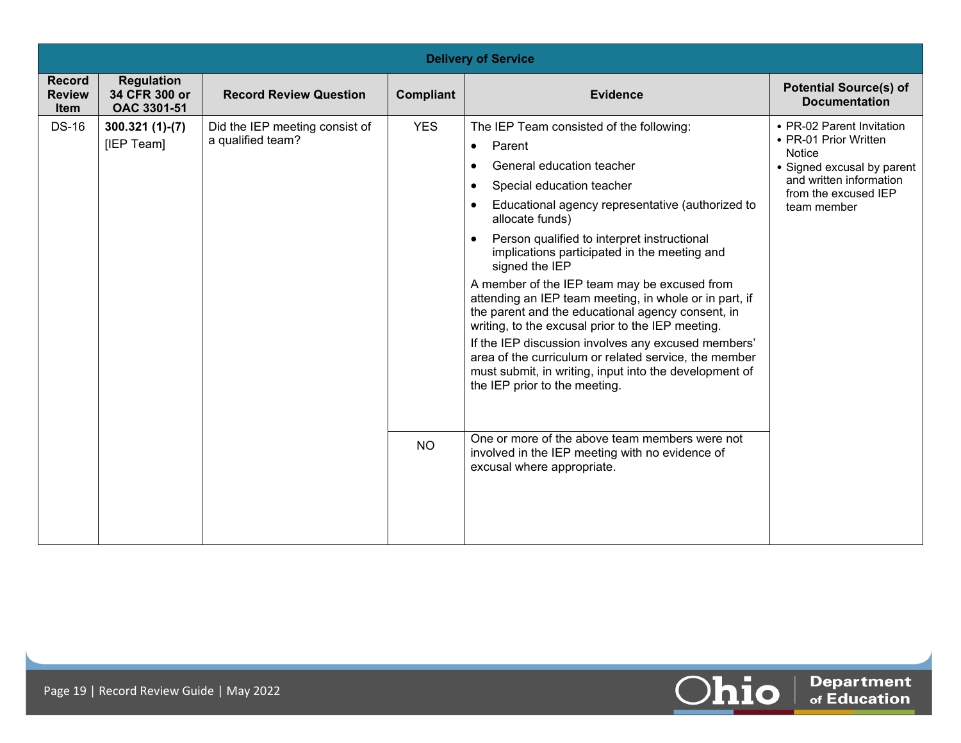|                                        | <b>Delivery of Service</b>                        |                                                     |                         |                                                                                                                                                                                                                                                                                                                                                                                                                                                                                                                                                                                                                                                                                                                                                                                                                                                                                                                            |                                                                                                                                                                     |  |
|----------------------------------------|---------------------------------------------------|-----------------------------------------------------|-------------------------|----------------------------------------------------------------------------------------------------------------------------------------------------------------------------------------------------------------------------------------------------------------------------------------------------------------------------------------------------------------------------------------------------------------------------------------------------------------------------------------------------------------------------------------------------------------------------------------------------------------------------------------------------------------------------------------------------------------------------------------------------------------------------------------------------------------------------------------------------------------------------------------------------------------------------|---------------------------------------------------------------------------------------------------------------------------------------------------------------------|--|
| <b>Record</b><br><b>Review</b><br>Item | <b>Regulation</b><br>34 CFR 300 or<br>OAC 3301-51 | <b>Record Review Question</b>                       | Compliant               | <b>Evidence</b>                                                                                                                                                                                                                                                                                                                                                                                                                                                                                                                                                                                                                                                                                                                                                                                                                                                                                                            | <b>Potential Source(s) of</b><br><b>Documentation</b>                                                                                                               |  |
| <b>DS-16</b>                           | $300.321(1)-(7)$<br>[IEP Team]                    | Did the IEP meeting consist of<br>a qualified team? | <b>YES</b><br><b>NO</b> | The IEP Team consisted of the following:<br>Parent<br>$\bullet$<br>General education teacher<br>Special education teacher<br>$\bullet$<br>Educational agency representative (authorized to<br>$\bullet$<br>allocate funds)<br>Person qualified to interpret instructional<br>$\bullet$<br>implications participated in the meeting and<br>signed the IEP<br>A member of the IEP team may be excused from<br>attending an IEP team meeting, in whole or in part, if<br>the parent and the educational agency consent, in<br>writing, to the excusal prior to the IEP meeting.<br>If the IEP discussion involves any excused members'<br>area of the curriculum or related service, the member<br>must submit, in writing, input into the development of<br>the IEP prior to the meeting.<br>One or more of the above team members were not<br>involved in the IEP meeting with no evidence of<br>excusal where appropriate. | • PR-02 Parent Invitation<br>• PR-01 Prior Written<br><b>Notice</b><br>• Signed excusal by parent<br>and written information<br>from the excused IEP<br>team member |  |